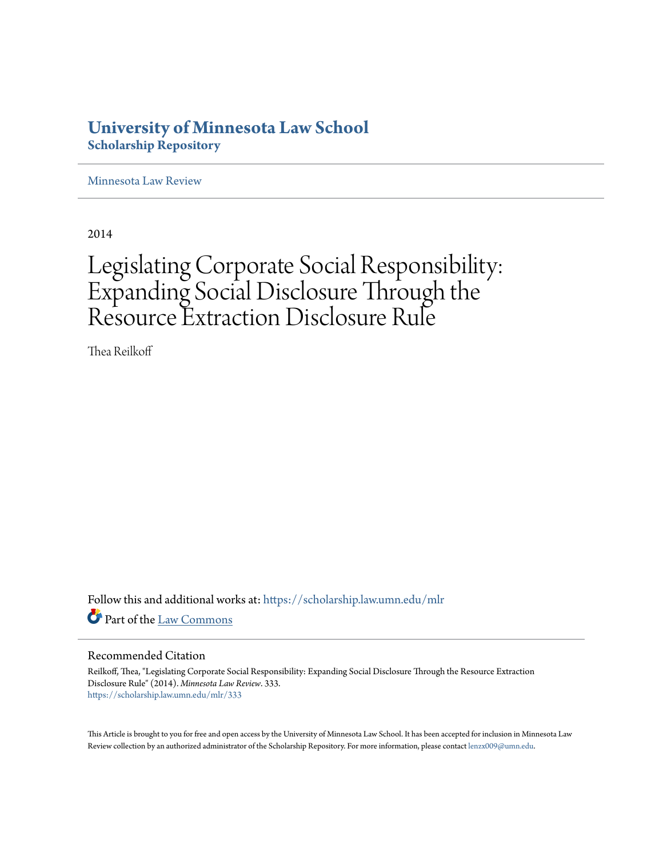# **University of Minnesota Law School [Scholarship Repository](https://scholarship.law.umn.edu?utm_source=scholarship.law.umn.edu%2Fmlr%2F333&utm_medium=PDF&utm_campaign=PDFCoverPages)**

[Minnesota Law Review](https://scholarship.law.umn.edu/mlr?utm_source=scholarship.law.umn.edu%2Fmlr%2F333&utm_medium=PDF&utm_campaign=PDFCoverPages)

2014

# Legislating Corporate Social Responsibility: Expanding Social Disclosure Through the Resource Extraction Disclosure Rule

Thea Reilkoff

Follow this and additional works at: [https://scholarship.law.umn.edu/mlr](https://scholarship.law.umn.edu/mlr?utm_source=scholarship.law.umn.edu%2Fmlr%2F333&utm_medium=PDF&utm_campaign=PDFCoverPages) Part of the [Law Commons](http://network.bepress.com/hgg/discipline/578?utm_source=scholarship.law.umn.edu%2Fmlr%2F333&utm_medium=PDF&utm_campaign=PDFCoverPages)

# Recommended Citation

Reilkoff, Thea, "Legislating Corporate Social Responsibility: Expanding Social Disclosure Through the Resource Extraction Disclosure Rule" (2014). *Minnesota Law Review*. 333. [https://scholarship.law.umn.edu/mlr/333](https://scholarship.law.umn.edu/mlr/333?utm_source=scholarship.law.umn.edu%2Fmlr%2F333&utm_medium=PDF&utm_campaign=PDFCoverPages)

This Article is brought to you for free and open access by the University of Minnesota Law School. It has been accepted for inclusion in Minnesota Law Review collection by an authorized administrator of the Scholarship Repository. For more information, please contact [lenzx009@umn.edu.](mailto:lenzx009@umn.edu)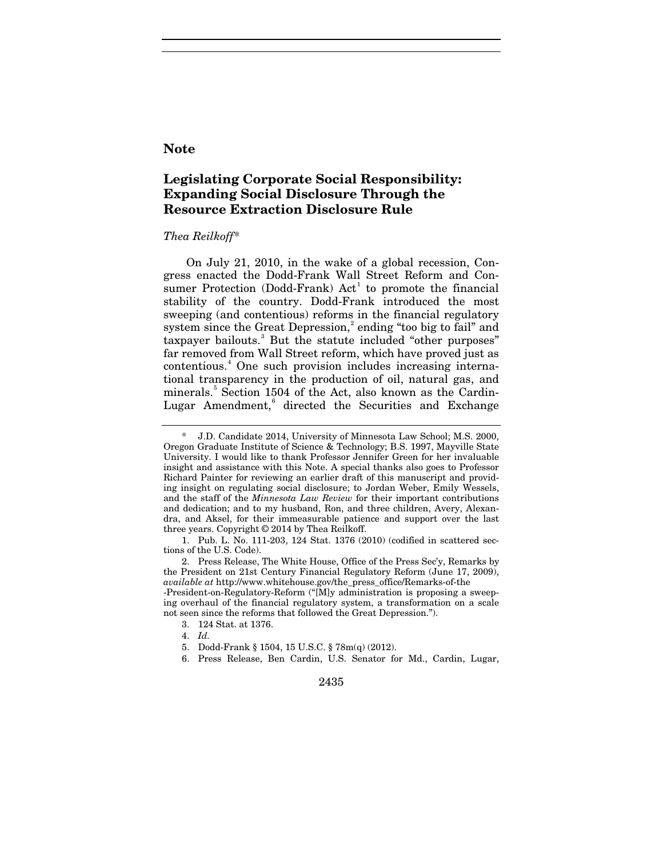# **Note**

# **Legislating Corporate Social Responsibility: Expanding Social Disclosure Through the Resource Extraction Disclosure Rule**

# *Thea Reilkoff*[\\*](#page-1-0)

On July 21, 2010, in the wake of a global recession, Congress enacted the Dodd-Frank Wall Street Reform and Consumer Protection (Dodd-Frank)  $Act<sup>1</sup>$  $Act<sup>1</sup>$  $Act<sup>1</sup>$  to promote the financial stability of the country. Dodd-Frank introduced the most sweeping (and contentious) reforms in the financial regulatory system since the Great Depression,<sup>[2](#page-1-2)</sup> ending "too big to fail" and taxpayer bailouts.<sup>[3](#page-1-3)</sup> But the statute included "other purposes" far removed from Wall Street reform, which have proved just as contentious.[4](#page-1-4) One such provision includes increasing international transparency in the production of oil, natural gas, and minerals.[5](#page-1-5) Section 1504 of the Act, also known as the Cardin-Lugar Amendment,<sup>[6](#page-1-6)</sup> directed the Securities and Exchange

<span id="page-1-6"></span><span id="page-1-5"></span><span id="page-1-4"></span><span id="page-1-3"></span>ing overhaul of the financial regulatory system, a transformation on a scale not seen since the reforms that followed the Great Depression.").

3. 124 Stat. at 1376.

- 5. Dodd-Frank § 1504, 15 U.S.C. § 78m(q) (2012).
- 6. Press Release, Ben Cardin, U.S. Senator for Md., Cardin, Lugar,

2435

<span id="page-1-7"></span><span id="page-1-0"></span><sup>\*</sup> J.D. Candidate 2014, University of Minnesota Law School; M.S. 2000, Oregon Graduate Institute of Science & Technology; B.S. 1997, Mayville State University. I would like to thank Professor Jennifer Green for her invaluable insight and assistance with this Note. A special thanks also goes to Professor Richard Painter for reviewing an earlier draft of this manuscript and providing insight on regulating social disclosure; to Jordan Weber, Emily Wessels, and the staff of the *Minnesota Law Review* for their important contributions and dedication; and to my husband, Ron, and three children, Avery, Alexandra, and Aksel, for their immeasurable patience and support over the last three years. Copyright © 2014 by Thea Reilkoff.

<span id="page-1-2"></span><span id="page-1-1"></span><sup>1.</sup> Pub. L. No. 111-203, 124 Stat. 1376 (2010) (codified in scattered sections of the U.S. Code).

<sup>2.</sup> Press Release, The White House, Office of the Press Sec'y, Remarks by the President on 21st Century Financial Regulatory Reform (June 17, 2009), *available at* http://www.whitehouse.gov/the\_press\_office/Remarks-of-the -President-on-Regulatory-Reform ("[M]y administration is proposing a sweep-

<sup>4.</sup> *Id.*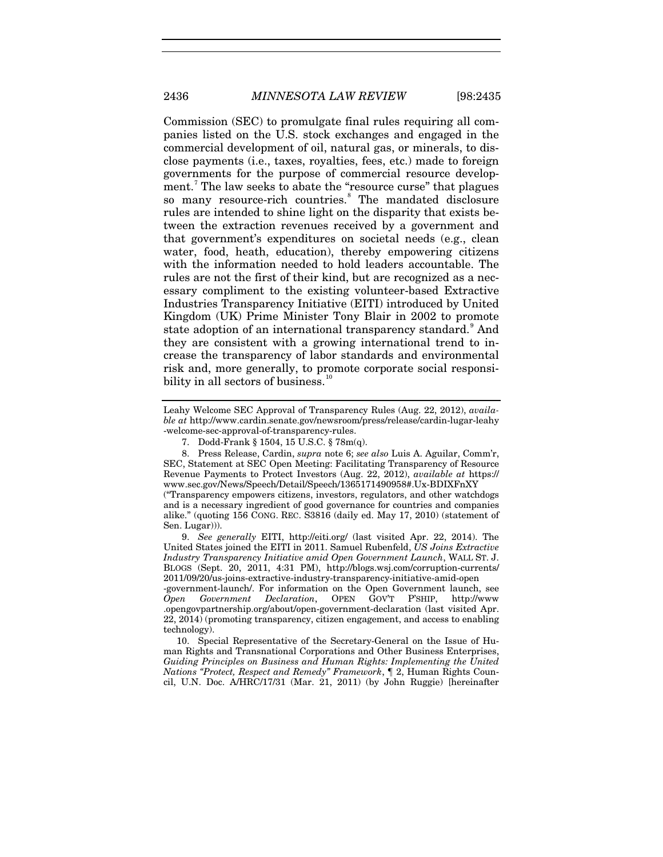2436 *MINNESOTA LAW REVIEW* [98:2435

Commission (SEC) to promulgate final rules requiring all companies listed on the U.S. stock exchanges and engaged in the commercial development of oil, natural gas, or minerals, to disclose payments (i.e., taxes, royalties, fees, etc.) made to foreign governments for the purpose of commercial resource develop-ment.<sup>[7](#page-2-0)</sup> The law seeks to abate the "resource curse" that plagues so many resource-rich countries.<sup>[8](#page-2-1)</sup> The mandated disclosure rules are intended to shine light on the disparity that exists between the extraction revenues received by a government and that government's expenditures on societal needs (e.g., clean water, food, heath, education), thereby empowering citizens with the information needed to hold leaders accountable. The rules are not the first of their kind, but are recognized as a necessary compliment to the existing volunteer-based Extractive Industries Transparency Initiative (EITI) introduced by United Kingdom (UK) Prime Minister Tony Blair in 2002 to promote state adoption of an international transparency standard.<sup>[9](#page-2-2)</sup> And they are consistent with a growing international trend to increase the transparency of labor standards and environmental risk and, more generally, to promote corporate social responsibility in all sectors of business. $10$ 

-government-launch/. For information on the Open Government launch, see *Open Government Declaration*, OPEN GOV'T P'SHIP, http://www .opengovpartnership.org/about/open-government-declaration (last visited Apr. 22, 2014) (promoting transparency, citizen engagement, and access to enabling technology).

<span id="page-2-3"></span>10. Special Representative of the Secretary-General on the Issue of Human Rights and Transnational Corporations and Other Business Enterprises, *Guiding Principles on Business and Human Rights: Implementing the United Nations "Protect, Respect and Remedy" Framework*, ¶ 2, Human Rights Council, U.N. Doc. A/HRC/17/31 (Mar. 21, 2011) (by John Ruggie) [hereinafter

Leahy Welcome SEC Approval of Transparency Rules (Aug. 22, 2012), *available at* http://www.cardin.senate.gov/newsroom/press/release/cardin-lugar-leahy -welcome-sec-approval-of-transparency-rules.

<span id="page-2-4"></span><sup>7.</sup> Dodd-Frank § 1504, 15 U.S.C. § 78m(q).

<span id="page-2-1"></span><span id="page-2-0"></span><sup>8.</sup> Press Release, Cardin, *supra* note [6;](#page-1-7) *see also* Luis A. Aguilar, Comm'r, SEC, Statement at SEC Open Meeting: Facilitating Transparency of Resource Revenue Payments to Protect Investors (Aug. 22, 2012), *available at* https:// www.sec.gov/News/Speech/Detail/Speech/1365171490958#.Ux-BDIXFnXY

<sup>(&</sup>quot;Transparency empowers citizens, investors, regulators, and other watchdogs and is a necessary ingredient of good governance for countries and companies alike." (quoting 156 CONG. REC. S3816 (daily ed. May 17, 2010) (statement of Sen. Lugar))).

<span id="page-2-2"></span><sup>9.</sup> *See generally* EITI, http://eiti.org/ (last visited Apr. 22, 2014). The United States joined the EITI in 2011. Samuel Rubenfeld, *US Joins Extractive Industry Transparency Initiative amid Open Government Launch*, WALL ST. J. BLOGS (Sept. 20, 2011, 4:31 PM), http://blogs.wsj.com/corruption-currents/ 2011/09/20/us-joins-extractive-industry-transparency-initiative-amid-open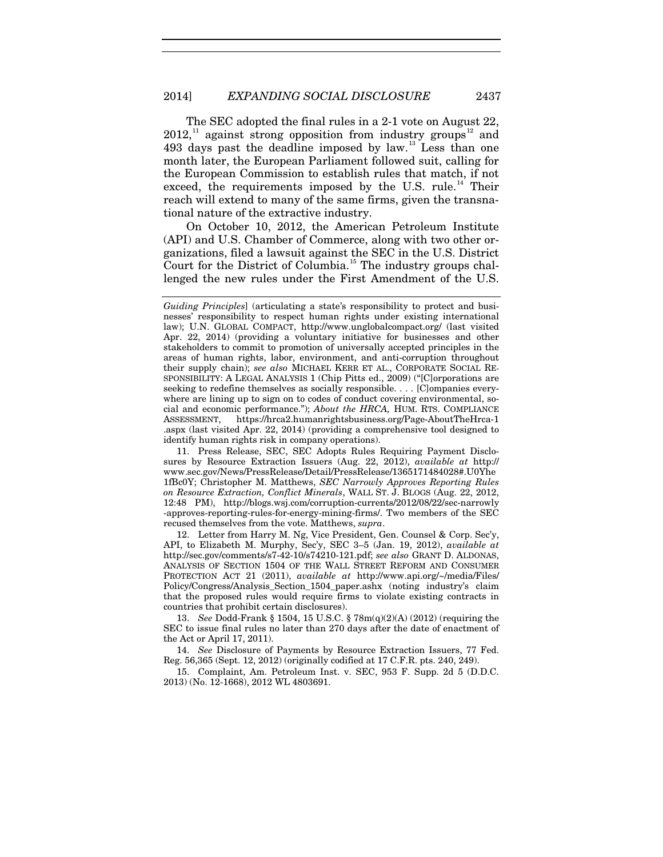<span id="page-3-6"></span>The SEC adopted the final rules in a 2-1 vote on August 22,  $2012$  $2012$ ,<sup>[11](#page-3-0)</sup> against strong opposition from industry groups<sup>12</sup> and 493 days past the deadline imposed by law. $^{13}$  $^{13}$  $^{13}$  Less than one month later, the European Parliament followed suit, calling for the European Commission to establish rules that match, if not exceed, the requirements imposed by the U.S. rule.<sup>[14](#page-3-3)</sup> Their reach will extend to many of the same firms, given the transnational nature of the extractive industry.

<span id="page-3-5"></span>On October 10, 2012, the American Petroleum Institute (API) and U.S. Chamber of Commerce, along with two other organizations, filed a lawsuit against the SEC in the U.S. District Court for the District of Columbia.<sup>[15](#page-3-4)</sup> The industry groups challenged the new rules under the First Amendment of the U.S.

<span id="page-3-0"></span>11. Press Release, SEC, SEC Adopts Rules Requiring Payment Disclosures by Resource Extraction Issuers (Aug. 22, 2012), *available at* http:// www.sec.gov/News/PressRelease/Detail/PressRelease/1365171484028#.U0Yhe 1fBc0Y; Christopher M. Matthews, *SEC Narrowly Approves Reporting Rules on Resource Extraction, Conflict Minerals*, WALL ST. J. BLOGS (Aug. 22, 2012, 12:48 PM), http://blogs.wsj.com/corruption-currents/2012/08/22/sec-narrowly -approves-reporting-rules-for-energy-mining-firms/. Two members of the SEC recused themselves from the vote. Matthews, *supra*.

<span id="page-3-1"></span>12. Letter from Harry M. Ng, Vice President, Gen. Counsel & Corp. Sec'y, API, to Elizabeth M. Murphy, Sec'y, SEC 3–5 (Jan. 19, 2012), *available at* http://sec.gov/comments/s7-42-10/s74210-121.pdf; *see also* GRANT D. ALDONAS, ANALYSIS OF SECTION 1504 OF THE WALL STREET REFORM AND CONSUMER PROTECTION ACT 21 (2011), *available at* http://www.api.org/~/media/Files/ Policy/Congress/Analysis\_Section\_1504\_paper.ashx (noting industry's claim that the proposed rules would require firms to violate existing contracts in countries that prohibit certain disclosures).

<span id="page-3-2"></span>13. *See* Dodd-Frank § 1504, 15 U.S.C. § 78m(q)(2)(A) (2012) (requiring the SEC to issue final rules no later than 270 days after the date of enactment of the Act or April 17, 2011).

<span id="page-3-3"></span>14. *See* Disclosure of Payments by Resource Extraction Issuers, 77 Fed. Reg. 56,365 (Sept. 12, 2012) (originally codified at 17 C.F.R. pts. 240, 249).

<span id="page-3-4"></span>15. Complaint, Am. Petroleum Inst. v. SEC, 953 F. Supp. 2d 5 (D.D.C. 2013) (No. 12-1668), 2012 WL 4803691.

*Guiding Principles*] (articulating a state's responsibility to protect and businesses' responsibility to respect human rights under existing international law); U.N. GLOBAL COMPACT, http://www.unglobalcompact.org/ (last visited Apr. 22, 2014) (providing a voluntary initiative for businesses and other stakeholders to commit to promotion of universally accepted principles in the areas of human rights, labor, environment, and anti-corruption throughout their supply chain); *see also* MICHAEL KERR ET AL., CORPORATE SOCIAL RE-SPONSIBILITY: A LEGAL ANALYSIS 1 (Chip Pitts ed., 2009) ("[C]orporations are seeking to redefine themselves as socially responsible. . . . [C]ompanies everywhere are lining up to sign on to codes of conduct covering environmental, social and economic performance."); *About the HRCA,* HUM. RTS. COMPLIANCE ASSESSMENT, https://hrca2.humanrightsbusiness.org/Page-AboutTheHrca-1 .aspx (last visited Apr. 22, 2014) (providing a comprehensive tool designed to identify human rights risk in company operations).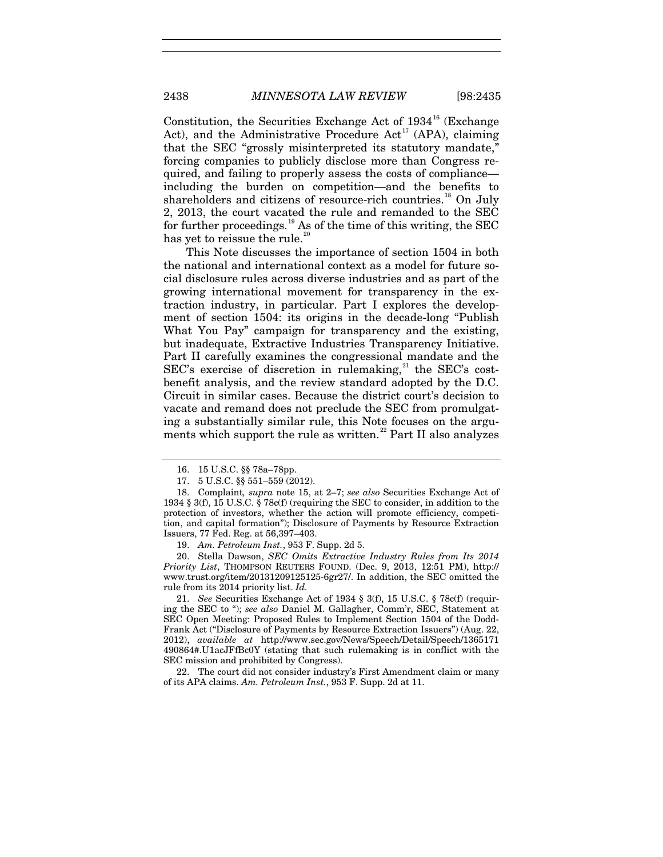Constitution, the Securities Exchange Act of  $1934^{16}$  $1934^{16}$  $1934^{16}$  (Exchange Act), and the Administrative Procedure Act<sup>[17](#page-4-1)</sup> (APA), claiming that the SEC "grossly misinterpreted its statutory mandate," forcing companies to publicly disclose more than Congress required, and failing to properly assess the costs of compliance including the burden on competition—and the benefits to shareholders and citizens of resource-rich countries.<sup>[18](#page-4-2)</sup> On July 2, 2013, the court vacated the rule and remanded to the SEC for further proceedings.<sup>[19](#page-4-3)</sup> As of the time of this writing, the SEC has yet to reissue the rule.<sup>2</sup>

This Note discusses the importance of section 1504 in both the national and international context as a model for future social disclosure rules across diverse industries and as part of the growing international movement for transparency in the extraction industry, in particular. Part I explores the development of section 1504: its origins in the decade-long "Publish What You Pay" campaign for transparency and the existing, but inadequate, Extractive Industries Transparency Initiative. Part II carefully examines the congressional mandate and the  $SEC's exercise of discretion in rule, <sup>21</sup> the SEC's cost SEC's exercise of discretion in rule, <sup>21</sup> the SEC's cost SEC's exercise of discretion in rule, <sup>21</sup> the SEC's cost$ benefit analysis, and the review standard adopted by the D.C. Circuit in similar cases. Because the district court's decision to vacate and remand does not preclude the SEC from promulgating a substantially similar rule, this Note focuses on the argu-ments which support the rule as written.<sup>[22](#page-4-6)</sup> Part II also analyzes

19. *Am. Petroleum Inst.*, 953 F. Supp. 2d 5.

<span id="page-4-4"></span><span id="page-4-3"></span>20. Stella Dawson, *SEC Omits Extractive Industry Rules from Its 2014 Priority List*, THOMPSON REUTERS FOUND. (Dec. 9, 2013, 12:51 PM), http:// www.trust.org/item/20131209125125-6gr27/. In addition, the SEC omitted the rule from its 2014 priority list. *Id.*

<span id="page-4-5"></span>21. *See* Securities Exchange Act of 1934 § 3(f), 15 U.S.C. § 78c(f) (requiring the SEC to "); *see also* Daniel M. Gallagher, Comm'r, SEC, Statement at SEC Open Meeting: Proposed Rules to Implement Section 1504 of the Dodd-Frank Act ("Disclosure of Payments by Resource Extraction Issuers") (Aug. 22, 2012), *available at* http://www.sec.gov/News/Speech/Detail/Speech/1365171 490864#.U1acJFfBc0Y (stating that such rulemaking is in conflict with the SEC mission and prohibited by Congress).

<span id="page-4-6"></span>22. The court did not consider industry's First Amendment claim or many of its APA claims. *Am. Petroleum Inst.*, 953 F. Supp. 2d at 11.

<span id="page-4-7"></span><sup>16.</sup> 15 U.S.C. §§ 78a–78pp.

<sup>17.</sup> 5 U.S.C. §§ 551–559 (2012).

<span id="page-4-2"></span><span id="page-4-1"></span><span id="page-4-0"></span><sup>18.</sup> Complaint*, supra* note [15,](#page-3-5) at 2–7; *see also* Securities Exchange Act of 1934 § 3(f), 15 U.S.C. § 78c(f) (requiring the SEC to consider, in addition to the protection of investors, whether the action will promote efficiency, competition, and capital formation"); Disclosure of Payments by Resource Extraction Issuers, 77 Fed. Reg. at 56,397–403.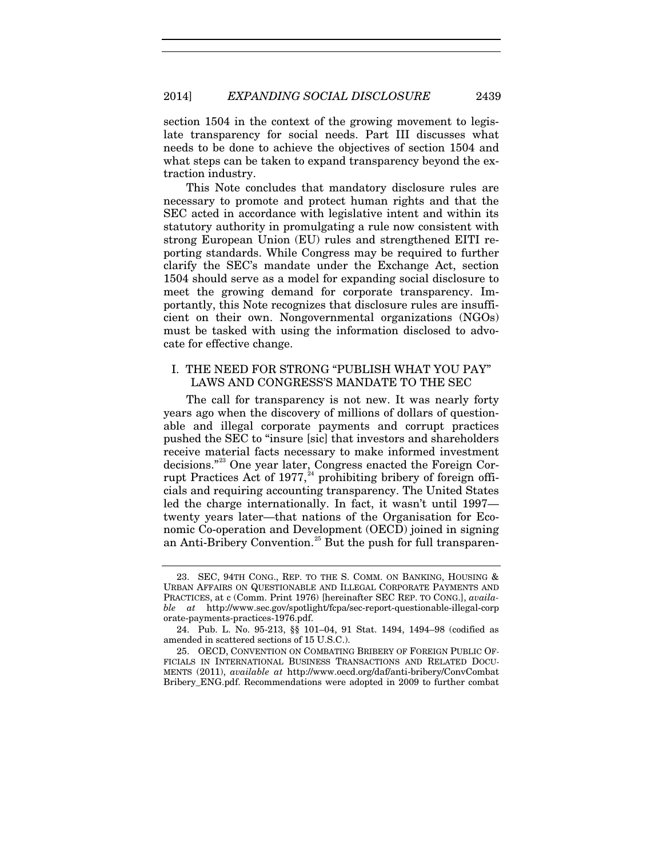section 1504 in the context of the growing movement to legislate transparency for social needs. Part III discusses what needs to be done to achieve the objectives of section 1504 and what steps can be taken to expand transparency beyond the extraction industry.

This Note concludes that mandatory disclosure rules are necessary to promote and protect human rights and that the SEC acted in accordance with legislative intent and within its statutory authority in promulgating a rule now consistent with strong European Union (EU) rules and strengthened EITI reporting standards. While Congress may be required to further clarify the SEC's mandate under the Exchange Act, section 1504 should serve as a model for expanding social disclosure to meet the growing demand for corporate transparency. Importantly, this Note recognizes that disclosure rules are insufficient on their own. Nongovernmental organizations (NGOs) must be tasked with using the information disclosed to advocate for effective change.

# I. THE NEED FOR STRONG "PUBLISH WHAT YOU PAY" LAWS AND CONGRESS'S MANDATE TO THE SEC

<span id="page-5-3"></span>The call for transparency is not new. It was nearly forty years ago when the discovery of millions of dollars of questionable and illegal corporate payments and corrupt practices pushed the SEC to "insure [sic] that investors and shareholders receive material facts necessary to make informed investment decisions."[23](#page-5-0) One year later, Congress enacted the Foreign Corrupt Practices Act of  $1977, ^{24}$  $1977, ^{24}$  $1977, ^{24}$  prohibiting bribery of foreign officials and requiring accounting transparency. The United States led the charge internationally. In fact, it wasn't until 1997 twenty years later—that nations of the Organisation for Economic Co-operation and Development (OECD) joined in signing an Anti-Bribery Convention.<sup>[25](#page-5-2)</sup> But the push for full transparen-

<span id="page-5-0"></span><sup>23.</sup> SEC, 94TH CONG., REP. TO THE S. COMM. ON BANKING, HOUSING & URBAN AFFAIRS ON QUESTIONABLE AND ILLEGAL CORPORATE PAYMENTS AND PRACTICES, at c (Comm. Print 1976) [hereinafter SEC REP. TO CONG.], *available at* http://www.sec.gov/spotlight/fcpa/sec-report-questionable-illegal-corp orate-payments-practices-1976.pdf.

<span id="page-5-1"></span><sup>24.</sup> Pub. L. No. 95-213, §§ 101–04, 91 Stat. 1494, 1494–98 (codified as amended in scattered sections of 15 U.S.C.).

<span id="page-5-2"></span><sup>25.</sup> OECD, CONVENTION ON COMBATING BRIBERY OF FOREIGN PUBLIC OF-FICIALS IN INTERNATIONAL BUSINESS TRANSACTIONS AND RELATED DOCU-MENTS (2011), *available at* http://www.oecd.org/daf/anti-bribery/ConvCombat Bribery\_ENG.pdf. Recommendations were adopted in 2009 to further combat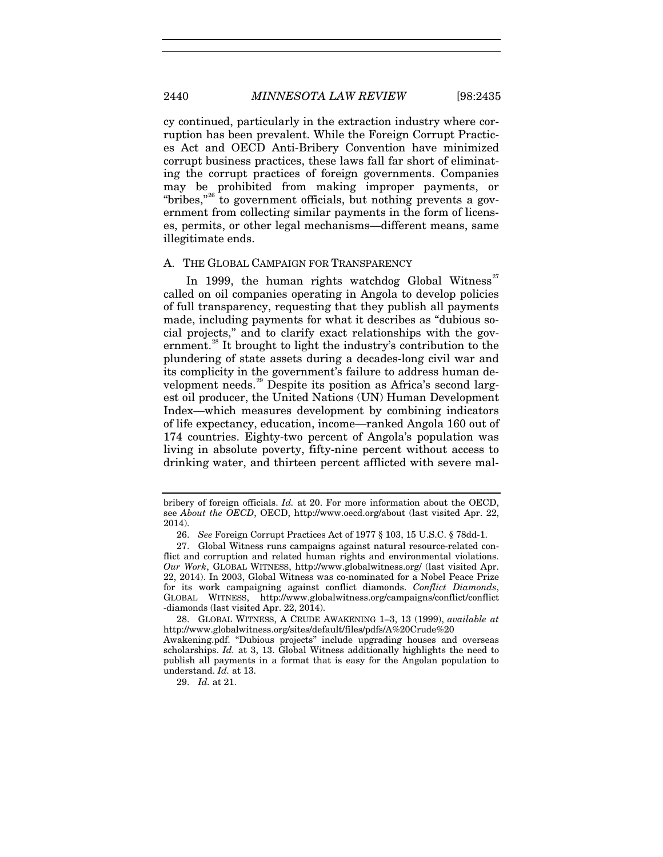cy continued, particularly in the extraction industry where corruption has been prevalent. While the Foreign Corrupt Practices Act and OECD Anti-Bribery Convention have minimized corrupt business practices, these laws fall far short of eliminating the corrupt practices of foreign governments. Companies may be prohibited from making improper payments, or "bribes,"<sup>[26](#page-6-0)</sup> to government officials, but nothing prevents a government from collecting similar payments in the form of licenses, permits, or other legal mechanisms—different means, same illegitimate ends.

#### A. THE GLOBAL CAMPAIGN FOR TRANSPARENCY

In 1999, the human rights watchdog Global Witness<sup>[27](#page-6-1)</sup> called on oil companies operating in Angola to develop policies of full transparency, requesting that they publish all payments made, including payments for what it describes as "dubious social projects," and to clarify exact relationships with the gov-ernment.<sup>[28](#page-6-2)</sup> It brought to light the industry's contribution to the plundering of state assets during a decades-long civil war and its complicity in the government's failure to address human de-velopment needs.<sup>[29](#page-6-3)</sup> Despite its position as Africa's second largest oil producer, the United Nations (UN) Human Development Index—which measures development by combining indicators of life expectancy, education, income—ranked Angola 160 out of 174 countries. Eighty-two percent of Angola's population was living in absolute poverty, fifty-nine percent without access to drinking water, and thirteen percent afflicted with severe mal-

29. *Id.* at 21.

bribery of foreign officials. *Id.* at 20. For more information about the OECD, see *About the OECD*, OECD, http://www.oecd.org/about (last visited Apr. 22, 2014).

<sup>26.</sup> *See* Foreign Corrupt Practices Act of 1977 § 103, 15 U.S.C. § 78dd-1.

<span id="page-6-1"></span><span id="page-6-0"></span><sup>27.</sup> Global Witness runs campaigns against natural resource-related conflict and corruption and related human rights and environmental violations. *Our Work*, GLOBAL WITNESS, http://www.globalwitness.org/ (last visited Apr. 22, 2014). In 2003, Global Witness was co-nominated for a Nobel Peace Prize for its work campaigning against conflict diamonds. *Conflict Diamonds*, GLOBAL WITNESS, http://www.globalwitness.org/campaigns/conflict/conflict -diamonds (last visited Apr. 22, 2014).

<span id="page-6-2"></span><sup>28.</sup> GLOBAL WITNESS, A CRUDE AWAKENING 1–3, 13 (1999), *available at*  http://www.globalwitness.org/sites/default/files/pdfs/A%20Crude%20

<span id="page-6-3"></span>Awakening.pdf. "Dubious projects" include upgrading houses and overseas scholarships. *Id.* at 3, 13. Global Witness additionally highlights the need to publish all payments in a format that is easy for the Angolan population to understand. *Id.* at 13.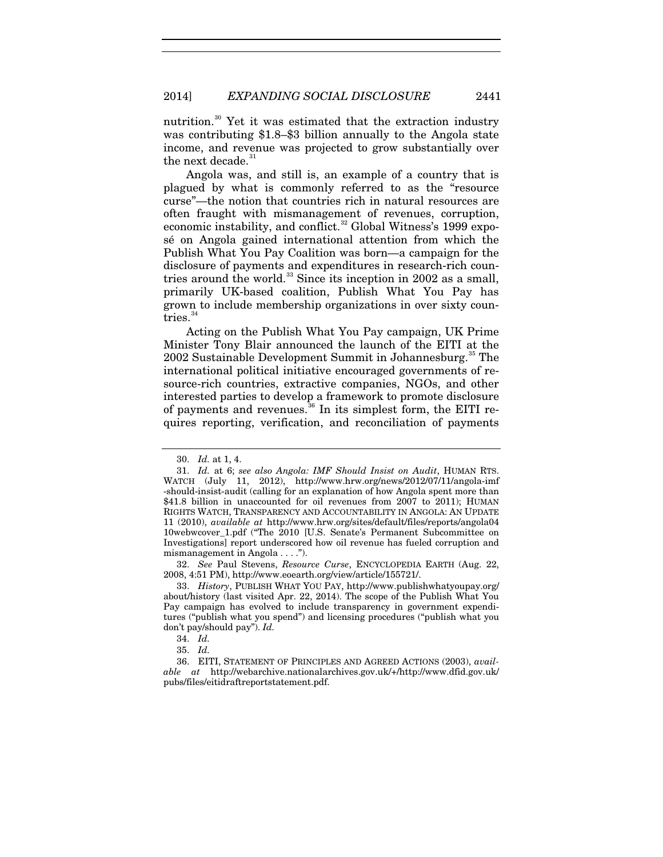nutrition.<sup>[30](#page-7-0)</sup> Yet it was estimated that the extraction industry was contributing \$1.8–\$3 billion annually to the Angola state income, and revenue was projected to grow substantially over the next decade.<sup>[31](#page-7-1)</sup>

<span id="page-7-7"></span>Angola was, and still is, an example of a country that is plagued by what is commonly referred to as the "resource curse"—the notion that countries rich in natural resources are often fraught with mismanagement of revenues, corruption, economic instability, and conflict.<sup>[32](#page-7-2)</sup> Global Witness's 1999 exposé on Angola gained international attention from which the Publish What You Pay Coalition was born—a campaign for the disclosure of payments and expenditures in research-rich countries around the world. $33$  Since its inception in 2002 as a small, primarily UK-based coalition, Publish What You Pay has grown to include membership organizations in over sixty countries. $34$ 

Acting on the Publish What You Pay campaign, UK Prime Minister Tony Blair announced the launch of the EITI at the 2002 Sustainable Development Summit in Johannesburg.<sup>[35](#page-7-5)</sup> The international political initiative encouraged governments of resource-rich countries, extractive companies, NGOs, and other interested parties to develop a framework to promote disclosure of payments and revenues.<sup>[36](#page-7-6)</sup> In its simplest form, the EITI requires reporting, verification, and reconciliation of payments

<span id="page-7-2"></span>32. *See* Paul Stevens, *Resource Curse*, ENCYCLOPEDIA EARTH (Aug. 22, 2008, 4:51 PM), http://www.eoearth.org/view/article/155721/.

<sup>30.</sup> *Id.* at 1, 4.

<span id="page-7-1"></span><span id="page-7-0"></span><sup>31.</sup> *Id.* at 6; *see also Angola: IMF Should Insist on Audit*, HUMAN RTS. WATCH (July 11, 2012), http://www.hrw.org/news/2012/07/11/angola-imf -should-insist-audit (calling for an explanation of how Angola spent more than \$41.8 billion in unaccounted for oil revenues from 2007 to 2011); HUMAN RIGHTS WATCH, TRANSPARENCY AND ACCOUNTABILITY IN ANGOLA: AN UPDATE 11 (2010), *available at* http://www.hrw.org/sites/default/files/reports/angola04 10webwcover\_1.pdf ("The 2010 [U.S. Senate's Permanent Subcommittee on Investigations] report underscored how oil revenue has fueled corruption and mismanagement in Angola . . . .").

<span id="page-7-3"></span><sup>33.</sup> *History*, PUBLISH WHAT YOU PAY, http://www.publishwhatyoupay.org/ about/history (last visited Apr. 22, 2014). The scope of the Publish What You Pay campaign has evolved to include transparency in government expenditures ("publish what you spend") and licensing procedures ("publish what you don't pay/should pay"). *Id.*

<sup>34.</sup> *Id.*

<sup>35.</sup> *Id.*

<span id="page-7-6"></span><span id="page-7-5"></span><span id="page-7-4"></span><sup>36.</sup> EITI, STATEMENT OF PRINCIPLES AND AGREED ACTIONS (2003), *available at* http://webarchive.nationalarchives.gov.uk/+/http://www.dfid.gov.uk/ pubs/files/eitidraftreportstatement.pdf.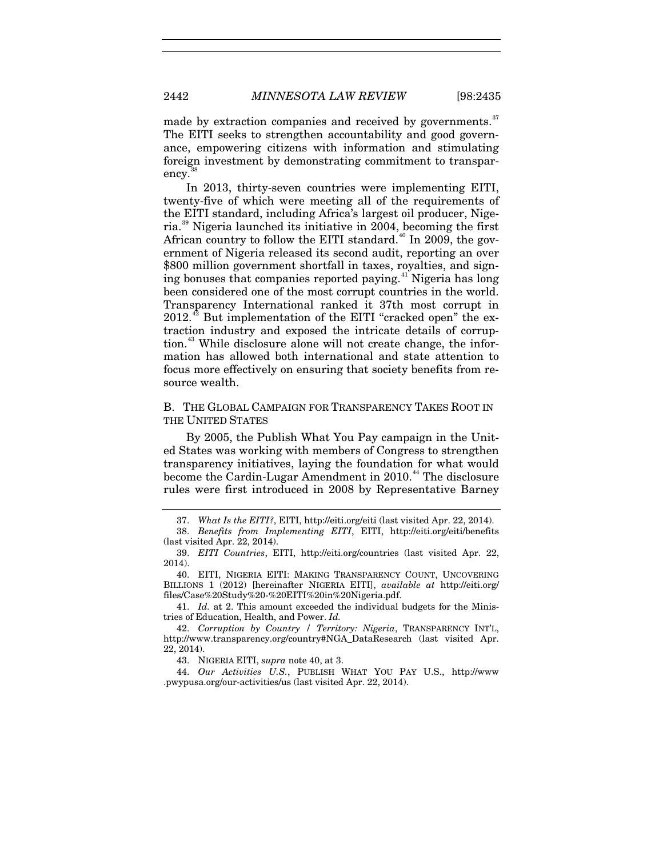made by extraction companies and received by governments.<sup>[37](#page-8-1)</sup> The EITI seeks to strengthen accountability and good governance, empowering citizens with information and stimulating foreign investment by demonstrating commitment to transparency.

<span id="page-8-10"></span><span id="page-8-0"></span>In 2013, thirty-seven countries were implementing EITI, twenty-five of which were meeting all of the requirements of the EITI standard, including Africa's largest oil producer, Nigeria.[39](#page-8-3) Nigeria launched its initiative in 2004, becoming the first African country to follow the EITI standard.<sup>[40](#page-8-4)</sup> In 2009, the government of Nigeria released its second audit, reporting an over \$800 million government shortfall in taxes, royalties, and sign-ing bonuses that companies reported paying.<sup>[41](#page-8-5)</sup> Nigeria has long been considered one of the most corrupt countries in the world. Transparency International ranked it 37th most corrupt in  $2012.<sup>42</sup>$  $2012.<sup>42</sup>$  $2012.<sup>42</sup>$  But implementation of the EITI "cracked open" the extraction industry and exposed the intricate details of corrup-tion.<sup>[43](#page-8-7)</sup> While disclosure alone will not create change, the information has allowed both international and state attention to focus more effectively on ensuring that society benefits from resource wealth.

B. THE GLOBAL CAMPAIGN FOR TRANSPARENCY TAKES ROOT IN THE UNITED STATES

By 2005, the Publish What You Pay campaign in the United States was working with members of Congress to strengthen transparency initiatives, laying the foundation for what would become the Cardin-Lugar Amendment in 2010.<sup>[44](#page-8-8)</sup> The disclosure rules were first introduced in 2008 by Representative Barney

<span id="page-8-9"></span><sup>37.</sup> *What Is the EITI?*, EITI, http://eiti.org/eiti (last visited Apr. 22, 2014).

<span id="page-8-2"></span><span id="page-8-1"></span><sup>38.</sup> *Benefits from Implementing EITI*, EITI, http://eiti.org/eiti/benefits (last visited Apr. 22, 2014).

<span id="page-8-3"></span><sup>39.</sup> *EITI Countries*, EITI, http://eiti.org/countries (last visited Apr. 22, 2014).

<span id="page-8-4"></span><sup>40.</sup> EITI, NIGERIA EITI: MAKING TRANSPARENCY COUNT, UNCOVERING BILLIONS 1 (2012) [hereinafter NIGERIA EITI], *available at* http://eiti.org/ files/Case%20Study%20-%20EITI%20in%20Nigeria.pdf.

<span id="page-8-5"></span><sup>41.</sup> *Id.* at 2. This amount exceeded the individual budgets for the Ministries of Education, Health, and Power. *Id.*

<span id="page-8-6"></span><sup>42.</sup> *Corruption by Country / Territory: Nigeria*, TRANSPARENCY INT'L, http://www.transparency.org/country#NGA\_DataResearch (last visited Apr. 22, 2014).

<sup>43.</sup> NIGERIA EITI, *supra* note [40,](#page-8-0) at 3.

<span id="page-8-8"></span><span id="page-8-7"></span><sup>44.</sup> *Our Activities U.S.*, PUBLISH WHAT YOU PAY U.S., http://www .pwypusa.org/our-activities/us (last visited Apr. 22, 2014).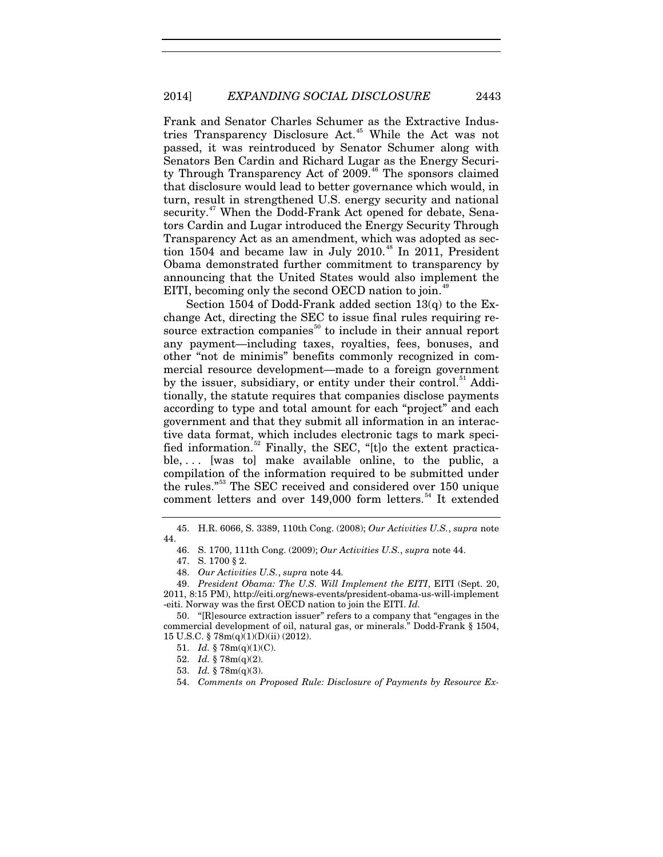Frank and Senator Charles Schumer as the Extractive Indus-tries Transparency Disclosure Act.<sup>[45](#page-9-0)</sup> While the Act was not passed, it was reintroduced by Senator Schumer along with Senators Ben Cardin and Richard Lugar as the Energy Securi-ty Through Transparency Act of 2009.<sup>[46](#page-9-1)</sup> The sponsors claimed that disclosure would lead to better governance which would, in turn, result in strengthened U.S. energy security and national security.<sup>[47](#page-9-2)</sup> When the Dodd-Frank Act opened for debate, Senators Cardin and Lugar introduced the Energy Security Through Transparency Act as an amendment, which was adopted as sec-tion 1504 and became law in July 2010.<sup>[48](#page-9-3)</sup> In 2011, President Obama demonstrated further commitment to transparency by announcing that the United States would also implement the EITI, becoming only the second OECD nation to join.<sup>4</sup>

Section 1504 of Dodd-Frank added section 13(q) to the Exchange Act, directing the SEC to issue final rules requiring re-source extraction companies<sup>[50](#page-9-5)</sup> to include in their annual report any payment—including taxes, royalties, fees, bonuses, and other "not de minimis" benefits commonly recognized in commercial resource development—made to a foreign government by the issuer, subsidiary, or entity under their control.<sup>[51](#page-9-6)</sup> Additionally, the statute requires that companies disclose payments according to type and total amount for each "project" and each government and that they submit all information in an interactive data format, which includes electronic tags to mark speci-fied information.<sup>[52](#page-9-7)</sup> Finally, the SEC, " $[t]$ o the extent practicable, . . . [was to] make available online, to the public, a compilation of the information required to be submitted under the rules."[53](#page-9-8) The SEC received and considered over 150 unique comment letters and over 149,000 form letters.<sup>[54](#page-9-9)</sup> It extended

<span id="page-9-9"></span><span id="page-9-8"></span><span id="page-9-7"></span><span id="page-9-6"></span><span id="page-9-5"></span>50. "[R]esource extraction issuer" refers to a company that "engages in the commercial development of oil, natural gas, or minerals." Dodd-Frank § 1504, 15 U.S.C. § 78m(q)(1)(D)(ii) (2012).

52. *Id.* § 78m(q)(2).

<span id="page-9-1"></span><span id="page-9-0"></span><sup>45.</sup> H.R. 6066, S. 3389, 110th Cong. (2008); *Our Activities U.S.*, *supra* note [44.](#page-8-9)

<sup>46.</sup> S. 1700, 111th Cong. (2009); *Our Activities U.S.*, *supra* not[e 44.](#page-8-9)

<sup>47.</sup> S. 1700 § 2.

<sup>48.</sup> *Our Activities U.S.*, *supra* note [44](#page-8-9)*.*

<span id="page-9-4"></span><span id="page-9-3"></span><span id="page-9-2"></span><sup>49.</sup> *President Obama: The U.S. Will Implement the EITI*, EITI (Sept. 20, 2011, 8:15 PM), http://eiti.org/news-events/president-obama-us-will-implement -eiti. Norway was the first OECD nation to join the EITI. *Id.*

<sup>51.</sup> *Id.* § 78m(q)(1)(C).

<sup>53.</sup> *Id.* § 78m(q)(3).

<sup>54.</sup> *Comments on Proposed Rule: Disclosure of Payments by Resource Ex-*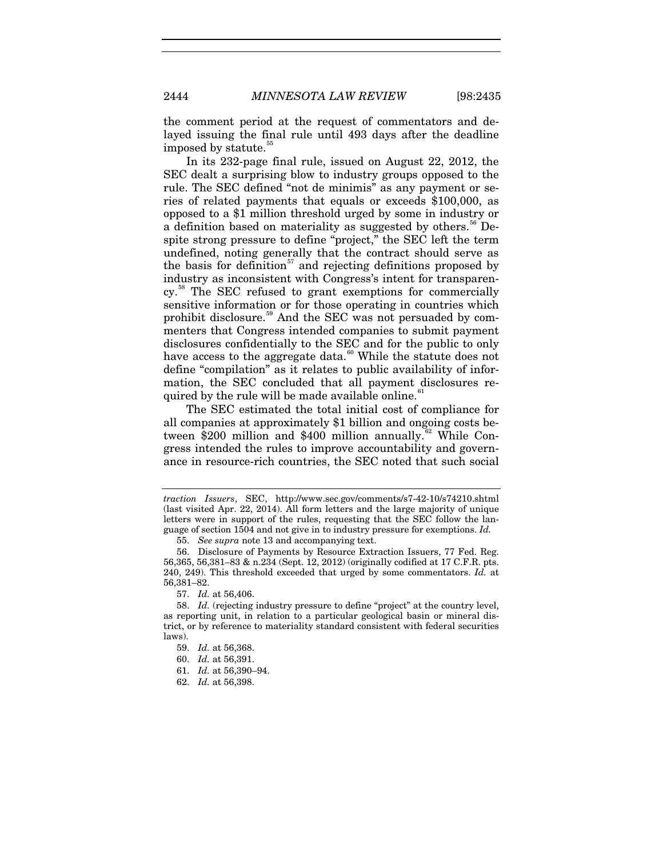the comment period at the request of commentators and delayed issuing the final rule until 493 days after the deadline imposed by statute.<sup>5</sup>

In its 232-page final rule, issued on August 22, 2012, the SEC dealt a surprising blow to industry groups opposed to the rule. The SEC defined "not de minimis" as any payment or series of related payments that equals or exceeds \$100,000, as opposed to a \$1 million threshold urged by some in industry or a definition based on materiality as suggested by others.<sup>[56](#page-10-1)</sup> Despite strong pressure to define "project," the SEC left the term undefined, noting generally that the contract should serve as the basis for definition<sup>[57](#page-10-2)</sup> and rejecting definitions proposed by industry as inconsistent with Congress's intent for transparency.[58](#page-10-3) The SEC refused to grant exemptions for commercially sensitive information or for those operating in countries which prohibit disclosure.[59](#page-10-4) And the SEC was not persuaded by commenters that Congress intended companies to submit payment disclosures confidentially to the SEC and for the public to only have access to the aggregate data.<sup>[60](#page-10-5)</sup> While the statute does not define "compilation" as it relates to public availability of information, the SEC concluded that all payment disclosures re-quired by the rule will be made available online.<sup>[61](#page-10-6)</sup>

The SEC estimated the total initial cost of compliance for all companies at approximately \$1 billion and ongoing costs between  $\bar{3}200$  million and \$400 million annually.<sup>[62](#page-10-7)</sup> While Congress intended the rules to improve accountability and governance in resource-rich countries, the SEC noted that such social

*traction Issuers*, SEC, http://www.sec.gov/comments/s7-42-10/s74210.shtml (last visited Apr. 22, 2014). All form letters and the large majority of unique letters were in support of the rules, requesting that the SEC follow the language of section 1504 and not give in to industry pressure for exemptions. *Id.*

<sup>55.</sup> *See supra* note [13](#page-3-6) and accompanying text.

<span id="page-10-1"></span><span id="page-10-0"></span><sup>56.</sup> Disclosure of Payments by Resource Extraction Issuers, 77 Fed. Reg. 56,365, 56,381–83 & n.234 (Sept. 12, 2012) (originally codified at 17 C.F.R. pts. 240, 249). This threshold exceeded that urged by some commentators. *Id.* at 56,381–82.

<sup>57.</sup> *Id.* at 56,406.

<span id="page-10-6"></span><span id="page-10-5"></span><span id="page-10-4"></span><span id="page-10-3"></span><span id="page-10-2"></span><sup>58.</sup> *Id.* (rejecting industry pressure to define "project" at the country level, as reporting unit, in relation to a particular geological basin or mineral district, or by reference to materiality standard consistent with federal securities laws).

<sup>59.</sup> *Id.* at 56,368.

<sup>60.</sup> *Id.* at 56,391.

<sup>61.</sup> *Id.* at 56,390–94.

<span id="page-10-7"></span><sup>62.</sup> *Id.* at 56,398.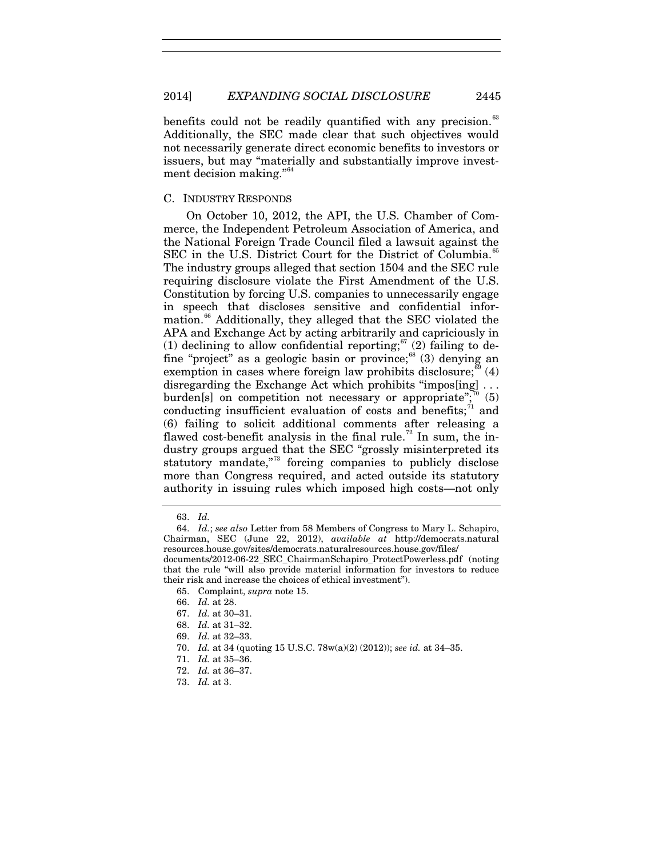benefits could not be readily quantified with any precision.<sup>[63](#page-11-0)</sup> Additionally, the SEC made clear that such objectives would not necessarily generate direct economic benefits to investors or issuers, but may "materially and substantially improve invest-ment decision making."<sup>[64](#page-11-1)</sup>

# C. INDUSTRY RESPONDS

On October 10, 2012, the API, the U.S. Chamber of Commerce, the Independent Petroleum Association of America, and the National Foreign Trade Council filed a lawsuit against the SEC in the U.S. District Court for the District of Columbia.<sup>[65](#page-11-2)</sup> The industry groups alleged that section 1504 and the SEC rule requiring disclosure violate the First Amendment of the U.S. Constitution by forcing U.S. companies to unnecessarily engage in speech that discloses sensitive and confidential infor-mation.<sup>[66](#page-11-3)</sup> Additionally, they alleged that the SEC violated the APA and Exchange Act by acting arbitrarily and capriciously in (1) declining to allow confidential reporting;  $67$  (2) failing to de-fine "project" as a geologic basin or province;<sup>[68](#page-11-5)</sup> (3) denying an exemption in cases where foreign law prohibits disclosure;  $^{69}$  $^{69}$  $^{69}$  (4) disregarding the Exchange Act which prohibits "impos[ing] ... burden[s] on competition not necessary or appropriate"; $\binom{70}{5}$  $\binom{70}{5}$  $\binom{70}{5}$ conducting insufficient evaluation of costs and benefits;<sup>[71](#page-11-8)</sup> and (6) failing to solicit additional comments after releasing a flawed cost-benefit analysis in the final rule.<sup>[72](#page-11-9)</sup> In sum, the industry groups argued that the SEC "grossly misinterpreted its statutory mandate,"<sup>[73](#page-11-10)</sup> forcing companies to publicly disclose more than Congress required, and acted outside its statutory authority in issuing rules which imposed high costs—not only

<sup>63.</sup> *Id.*

<span id="page-11-2"></span><span id="page-11-1"></span><span id="page-11-0"></span><sup>64.</sup> *Id.*; *see also* Letter from 58 Members of Congress to Mary L. Schapiro, Chairman, SEC (June 22, 2012), *available at* http://democrats.natural resources.house.gov/sites/democrats.naturalresources.house.gov/files/ documents/2012-06-22\_SEC\_ChairmanSchapiro\_ProtectPowerless.pdf (noting that the rule "will also provide material information for investors to reduce their risk and increase the choices of ethical investment").

<span id="page-11-3"></span><sup>65.</sup> Complaint, *supra* not[e 15.](#page-3-5)

<sup>66.</sup> *Id.* at 28.

<span id="page-11-4"></span><sup>67.</sup> *Id.* at 30–31.

<span id="page-11-5"></span><sup>68.</sup> *Id.* at 31–32.

<sup>69.</sup> *Id.* at 32–33.

<sup>70.</sup> *Id.* at 34 (quoting 15 U.S.C. 78w(a)(2) (2012)); *see id.* at 34–35.

<span id="page-11-9"></span><span id="page-11-8"></span><span id="page-11-7"></span><span id="page-11-6"></span><sup>71.</sup> *Id.* at 35–36.

<sup>72.</sup> *Id.* at 36–37.

<span id="page-11-10"></span><sup>73.</sup> *Id.* at 3.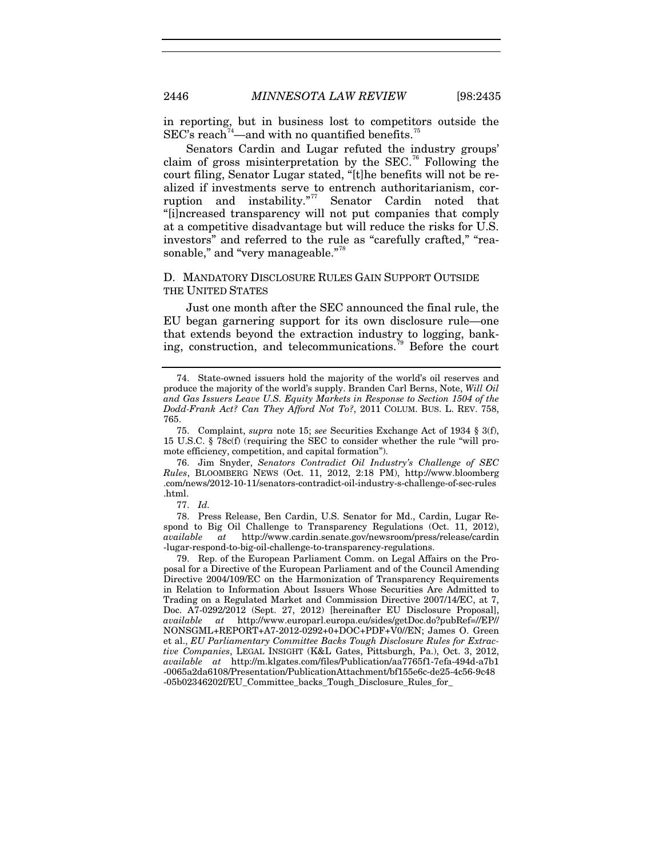<span id="page-12-6"></span>in reporting, but in business lost to competitors outside the  $\text{SEC's reach}^{74}$  $\text{SEC's reach}^{74}$  $\text{SEC's reach}^{74}$ —and with no quantified benefits.<sup>[75](#page-12-1)</sup>

Senators Cardin and Lugar refuted the industry groups' claim of gross misinterpretation by the SEC.<sup>[76](#page-12-2)</sup> Following the court filing, Senator Lugar stated, "[t]he benefits will not be realized if investments serve to entrench authoritarianism, corruption and instability."[77](#page-12-3) Senator Cardin noted that "[i]ncreased transparency will not put companies that comply at a competitive disadvantage but will reduce the risks for U.S. investors" and referred to the rule as "carefully crafted," "rea-sonable," and "very manageable."<sup>[78](#page-12-4)</sup>

# D. MANDATORY DISCLOSURE RULES GAIN SUPPORT OUTSIDE THE UNITED STATES

Just one month after the SEC announced the final rule, the EU began garnering support for its own disclosure rule—one that extends beyond the extraction industry to logging, bank-ing, construction, and telecommunications.<sup>[79](#page-12-5)</sup> Before the court

77. *Id.* 

<span id="page-12-4"></span><span id="page-12-3"></span>78. Press Release, Ben Cardin, U.S. Senator for Md., Cardin, Lugar Respond to Big Oil Challenge to Transparency Regulations (Oct. 11, 2012), *available at* http://www.cardin.senate.gov/newsroom/press/release/cardin -lugar-respond-to-big-oil-challenge-to-transparency-regulations.

<span id="page-12-5"></span>79. Rep. of the European Parliament Comm. on Legal Affairs on the Proposal for a Directive of the European Parliament and of the Council Amending Directive 2004/109/EC on the Harmonization of Transparency Requirements in Relation to Information About Issuers Whose Securities Are Admitted to Trading on a Regulated Market and Commission Directive 2007/14/EC, at 7, Doc. A7-0292/2012 (Sept. 27, 2012) [hereinafter EU Disclosure Proposal], *available at* http://www.europarl.europa.eu/sides/getDoc.do?pubRef=//EP// NONSGML+REPORT+A7-2012-0292+0+DOC+PDF+V0//EN; James O. Green et al., *EU Parliamentary Committee Backs Tough Disclosure Rules for Extractive Companies*, LEGAL INSIGHT (K&L Gates, Pittsburgh, Pa.), Oct. 3, 2012, *available at* http://m.klgates.com/files/Publication/aa7765f1-7efa-494d-a7b1 -0065a2da6108/Presentation/PublicationAttachment/bf155e6c-de25-4c56-9c48 -05b02346202f/EU\_Committee\_backs\_Tough\_Disclosure\_Rules\_for\_

<span id="page-12-0"></span><sup>74.</sup> State-owned issuers hold the majority of the world's oil reserves and produce the majority of the world's supply. Branden Carl Berns, Note, *Will Oil and Gas Issuers Leave U.S. Equity Markets in Response to Section 1504 of the Dodd-Frank Act? Can They Afford Not To?*, 2011 COLUM. BUS. L. REV. 758, 765.

<span id="page-12-1"></span><sup>75.</sup> Complaint, *supra* note [15;](#page-3-5) *see* Securities Exchange Act of 1934 § 3(f), 15 U.S.C. § 78c(f) (requiring the SEC to consider whether the rule "will promote efficiency, competition, and capital formation").

<span id="page-12-2"></span><sup>76.</sup> Jim Snyder, *Senators Contradict Oil Industry's Challenge of SEC Rules*, BLOOMBERG NEWS (Oct. 11, 2012, 2:18 PM), http://www.bloomberg .com/news/2012-10-11/senators-contradict-oil-industry-s-challenge-of-sec-rules .html.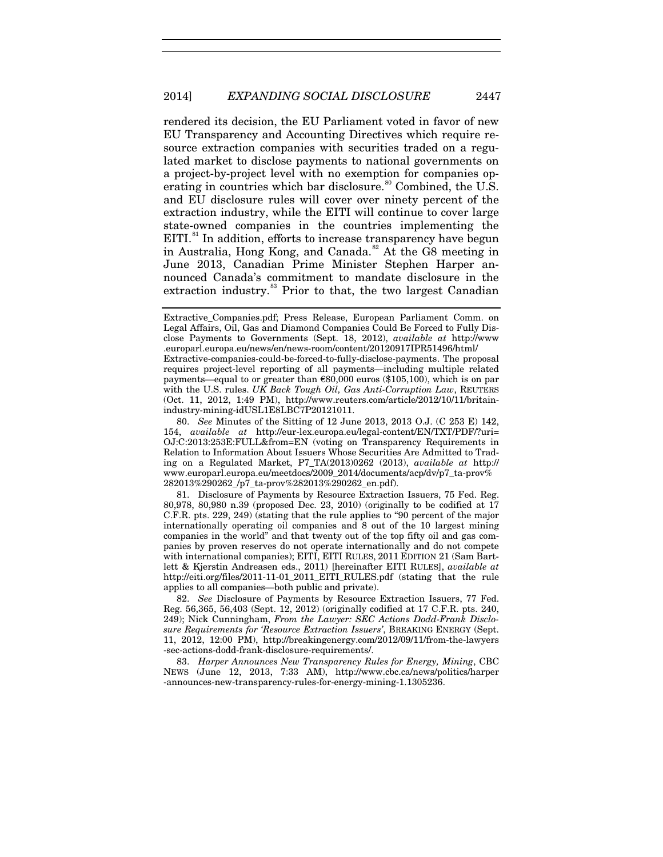rendered its decision, the EU Parliament voted in favor of new EU Transparency and Accounting Directives which require resource extraction companies with securities traded on a regulated market to disclose payments to national governments on a project-by-project level with no exemption for companies op-erating in countries which bar disclosure.<sup>[80](#page-13-0)</sup> Combined, the U.S. and EU disclosure rules will cover over ninety percent of the extraction industry, while the EITI will continue to cover large state-owned companies in the countries implementing the EITI.<sup>[81](#page-13-1)</sup> In addition, efforts to increase transparency have begun in Australia, Hong Kong, and Canada.<sup>[82](#page-13-2)</sup> At the G8 meeting in June 2013, Canadian Prime Minister Stephen Harper announced Canada's commitment to mandate disclosure in the extraction industry.<sup>[83](#page-13-3)</sup> Prior to that, the two largest Canadian

<span id="page-13-5"></span><span id="page-13-4"></span>Extractive\_Companies.pdf; Press Release, European Parliament Comm. on Legal Affairs, Oil, Gas and Diamond Companies Could Be Forced to Fully Disclose Payments to Governments (Sept. 18, 2012), *available at* http://www .europarl.europa.eu/news/en/news-room/content/20120917IPR51496/html/ Extractive-companies-could-be-forced-to-fully-disclose-payments. The proposal requires project-level reporting of all payments—including multiple related payments—equal to or greater than  $\epsilon$ 80,000 euros (\$105,100), which is on par with the U.S. rules. *UK Back Tough Oil, Gas Anti-Corruption Law*, REUTERS (Oct. 11, 2012, 1:49 PM), http://www.reuters.com/article/2012/10/11/britainindustry-mining-idUSL1E8LBC7P20121011.

<span id="page-13-0"></span><sup>80.</sup> *See* Minutes of the Sitting of 12 June 2013, 2013 O.J. (C 253 E) 142, 154, *available at* http://eur-lex.europa.eu/legal-content/EN/TXT/PDF/?uri= OJ:C:2013:253E:FULL&from=EN (voting on Transparency Requirements in Relation to Information About Issuers Whose Securities Are Admitted to Trading on a Regulated Market, P7\_TA(2013)0262 (2013), *available at* http:// www.europarl.europa.eu/meetdocs/2009\_2014/documents/acp/dv/p7\_ta-prov% 282013%290262\_/p7\_ta-prov%282013%290262\_en.pdf).

<span id="page-13-1"></span><sup>81.</sup> Disclosure of Payments by Resource Extraction Issuers, 75 Fed. Reg. 80,978, 80,980 n.39 (proposed Dec. 23, 2010) (originally to be codified at 17 C.F.R. pts. 229, 249) (stating that the rule applies to "90 percent of the major internationally operating oil companies and 8 out of the 10 largest mining companies in the world" and that twenty out of the top fifty oil and gas companies by proven reserves do not operate internationally and do not compete with international companies); EITI, EITI RULES, 2011 EDITION 21 (Sam Bartlett & Kjerstin Andreasen eds., 2011) [hereinafter EITI RULES], *available at* http://eiti.org/files/2011-11-01\_2011\_EITI\_RULES.pdf (stating that the rule applies to all companies—both public and private).

<span id="page-13-2"></span><sup>82.</sup> *See* Disclosure of Payments by Resource Extraction Issuers, 77 Fed. Reg. 56,365, 56,403 (Sept. 12, 2012) (originally codified at 17 C.F.R. pts. 240, 249); Nick Cunningham, *From the Lawyer: SEC Actions Dodd-Frank Disclosure Requirements for 'Resource Extraction Issuers'*, BREAKING ENERGY (Sept. 11, 2012, 12:00 PM), http://breakingenergy.com/2012/09/11/from-the-lawyers -sec-actions-dodd-frank-disclosure-requirements/.

<span id="page-13-3"></span><sup>83.</sup> *Harper Announces New Transparency Rules for Energy, Mining*, CBC NEWS (June 12, 2013, 7:33 AM), http://www.cbc.ca/news/politics/harper -announces-new-transparency-rules-for-energy-mining-1.1305236.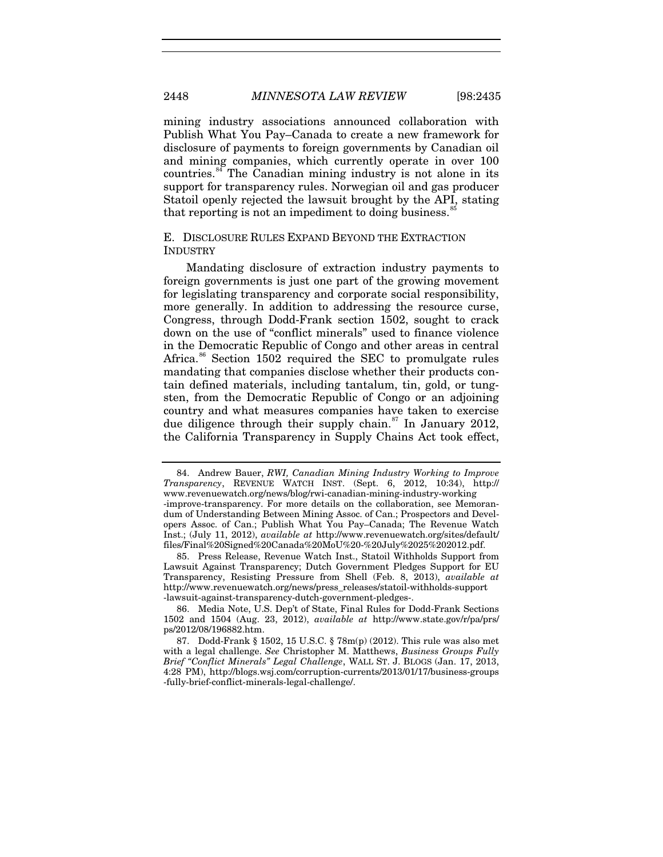<span id="page-14-4"></span>mining industry associations announced collaboration with Publish What You Pay–Canada to create a new framework for disclosure of payments to foreign governments by Canadian oil and mining companies, which currently operate in over 100 countries.<sup>[84](#page-14-0)</sup> The Canadian mining industry is not alone in its support for transparency rules. Norwegian oil and gas producer Statoil openly rejected the lawsuit brought by the API, stating that reporting is not an impediment to doing business. $\dot{\ }$ 

# E. DISCLOSURE RULES EXPAND BEYOND THE EXTRACTION INDUSTRY

Mandating disclosure of extraction industry payments to foreign governments is just one part of the growing movement for legislating transparency and corporate social responsibility, more generally. In addition to addressing the resource curse, Congress, through Dodd-Frank section 1502, sought to crack down on the use of "conflict minerals" used to finance violence in the Democratic Republic of Congo and other areas in central Africa.<sup>[86](#page-14-2)</sup> Section 1502 required the SEC to promulgate rules mandating that companies disclose whether their products contain defined materials, including tantalum, tin, gold, or tungsten, from the Democratic Republic of Congo or an adjoining country and what measures companies have taken to exercise due diligence through their supply chain.<sup>[87](#page-14-3)</sup> In January 2012, the California Transparency in Supply Chains Act took effect,

<span id="page-14-1"></span>85. Press Release, Revenue Watch Inst., Statoil Withholds Support from Lawsuit Against Transparency; Dutch Government Pledges Support for EU Transparency, Resisting Pressure from Shell (Feb. 8, 2013), *available at* http://www.revenuewatch.org/news/press\_releases/statoil-withholds-support -lawsuit-against-transparency-dutch-government-pledges-.

<span id="page-14-2"></span>86. Media Note, U.S. Dep't of State, Final Rules for Dodd-Frank Sections 1502 and 1504 (Aug. 23, 2012), *available at* http://www.state.gov/r/pa/prs/ ps/2012/08/196882.htm.

<span id="page-14-0"></span><sup>84.</sup> Andrew Bauer, *RWI, Canadian Mining Industry Working to Improve Transparency*, REVENUE WATCH INST. (Sept. 6, 2012, 10:34), http:// www.revenuewatch.org/news/blog/rwi-canadian-mining-industry-working -improve-transparency. For more details on the collaboration, see Memorandum of Understanding Between Mining Assoc. of Can.; Prospectors and Developers Assoc. of Can.; Publish What You Pay–Canada; The Revenue Watch Inst.; (July 11, 2012), *available at* http://www.revenuewatch.org/sites/default/ files/Final%20Signed%20Canada%20MoU%20-%20July%2025%202012.pdf.

<span id="page-14-3"></span><sup>87.</sup> Dodd-Frank § 1502, 15 U.S.C. § 78m(p) (2012). This rule was also met with a legal challenge. *See* Christopher M. Matthews, *Business Groups Fully Brief "Conflict Minerals" Legal Challenge*, WALL ST. J. BLOGS (Jan. 17, 2013, 4:28 PM), http://blogs.wsj.com/corruption-currents/2013/01/17/business-groups -fully-brief-conflict-minerals-legal-challenge/.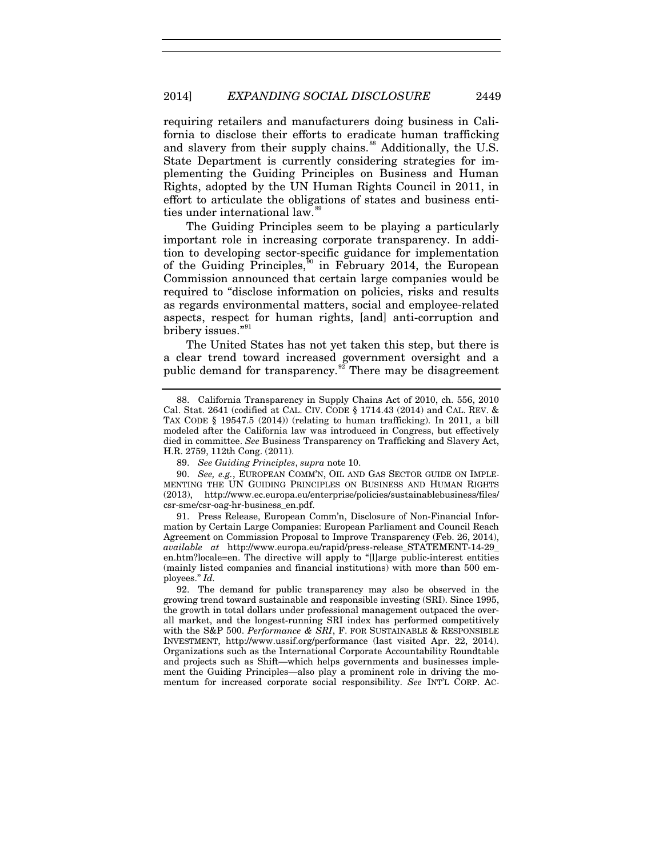<span id="page-15-5"></span>requiring retailers and manufacturers doing business in California to disclose their efforts to eradicate human trafficking and slavery from their supply chains.<sup>[88](#page-15-0)</sup> Additionally, the U.S. State Department is currently considering strategies for implementing the Guiding Principles on Business and Human Rights, adopted by the UN Human Rights Council in 2011, in effort to articulate the obligations of states and business entities under international law.<sup>8</sup>

The Guiding Principles seem to be playing a particularly important role in increasing corporate transparency. In addition to developing sector-specific guidance for implementation of the Guiding Principles,<sup>[90](#page-15-2)</sup> in February 2014, the European Commission announced that certain large companies would be required to "disclose information on policies, risks and results as regards environmental matters, social and employee-related aspects, respect for human rights, [and] anti-corruption and bribery issues."<sup>[91](#page-15-3)</sup>

<span id="page-15-6"></span>The United States has not yet taken this step, but there is a clear trend toward increased government oversight and a public demand for transparency. $\frac{92}{2}$  $\frac{92}{2}$  $\frac{92}{2}$  There may be disagreement

<span id="page-15-3"></span>91. Press Release, European Comm'n, Disclosure of Non-Financial Information by Certain Large Companies: European Parliament and Council Reach Agreement on Commission Proposal to Improve Transparency (Feb. 26, 2014), *available at* http://www.europa.eu/rapid/press-release\_STATEMENT-14-29\_ en.htm?locale=en. The directive will apply to "[l]arge public-interest entities (mainly listed companies and financial institutions) with more than 500 employees." *Id.*

<span id="page-15-0"></span><sup>88.</sup> California Transparency in Supply Chains Act of 2010, ch. 556, 2010 Cal. Stat. 2641 (codified at CAL. CIV. CODE § 1714.43 (2014) and CAL. REV. & TAX CODE § 19547.5 (2014)) (relating to human trafficking). In 2011, a bill modeled after the California law was introduced in Congress, but effectively died in committee. *See* Business Transparency on Trafficking and Slavery Act, H.R. 2759, 112th Cong. (2011).

<sup>89.</sup> *See Guiding Principles*, *supra* not[e 10.](#page-2-4)

<span id="page-15-2"></span><span id="page-15-1"></span><sup>90.</sup> *See, e.g.*, EUROPEAN COMM'N, OIL AND GAS SECTOR GUIDE ON IMPLE-MENTING THE UN GUIDING PRINCIPLES ON BUSINESS AND HUMAN RIGHTS (2013), http://www.ec.europa.eu/enterprise/policies/sustainablebusiness/files/ csr-sme/csr-oag-hr-business\_en.pdf.

<span id="page-15-4"></span><sup>92.</sup> The demand for public transparency may also be observed in the growing trend toward sustainable and responsible investing (SRI). Since 1995, the growth in total dollars under professional management outpaced the overall market, and the longest-running SRI index has performed competitively with the S&P 500. *Performance & SRI*, F. FOR SUSTAINABLE & RESPONSIBLE INVESTMENT, http://www.ussif.org/performance (last visited Apr. 22, 2014). Organizations such as the International Corporate Accountability Roundtable and projects such as Shift—which helps governments and businesses implement the Guiding Principles—also play a prominent role in driving the momentum for increased corporate social responsibility. *See* INT'L CORP. AC-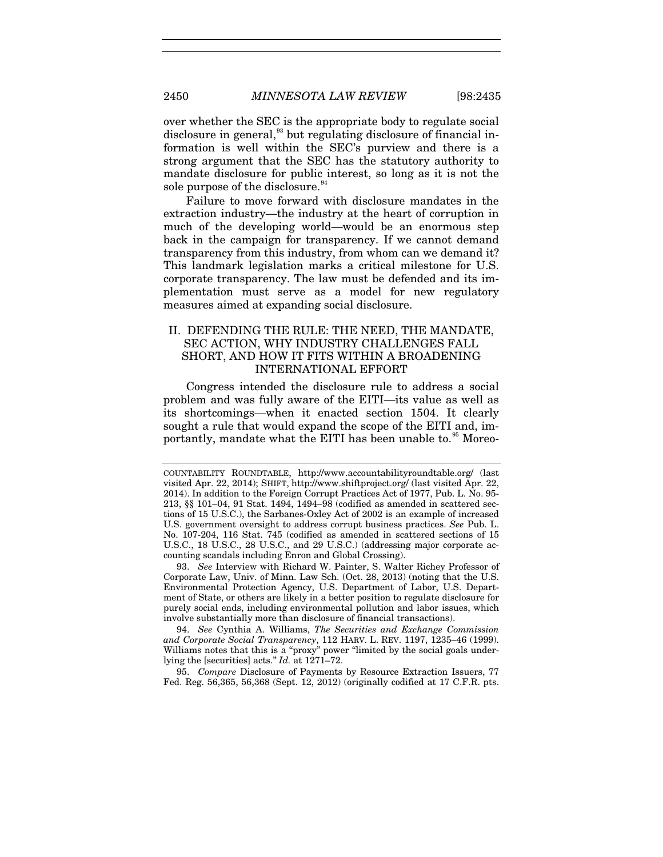over whether the SEC is the appropriate body to regulate social disclosure in general,<sup>[93](#page-16-0)</sup> but regulating disclosure of financial information is well within the SEC's purview and there is a strong argument that the SEC has the statutory authority to mandate disclosure for public interest, so long as it is not the sole purpose of the disclosure.<sup>[94](#page-16-1)</sup>

<span id="page-16-3"></span>Failure to move forward with disclosure mandates in the extraction industry—the industry at the heart of corruption in much of the developing world—would be an enormous step back in the campaign for transparency. If we cannot demand transparency from this industry, from whom can we demand it? This landmark legislation marks a critical milestone for U.S. corporate transparency. The law must be defended and its implementation must serve as a model for new regulatory measures aimed at expanding social disclosure.

# II. DEFENDING THE RULE: THE NEED, THE MANDATE, SEC ACTION, WHY INDUSTRY CHALLENGES FALL SHORT, AND HOW IT FITS WITHIN A BROADENING INTERNATIONAL EFFORT

Congress intended the disclosure rule to address a social problem and was fully aware of the EITI—its value as well as its shortcomings—when it enacted section 1504. It clearly sought a rule that would expand the scope of the EITI and, im-portantly, mandate what the EITI has been unable to.<sup>[95](#page-16-2)</sup> Moreo-

<span id="page-16-0"></span>93. *See* Interview with Richard W. Painter, S. Walter Richey Professor of Corporate Law, Univ. of Minn. Law Sch. (Oct. 28, 2013) (noting that the U.S. Environmental Protection Agency, U.S. Department of Labor, U.S. Department of State, or others are likely in a better position to regulate disclosure for purely social ends, including environmental pollution and labor issues, which involve substantially more than disclosure of financial transactions).

<span id="page-16-1"></span>94. *See* Cynthia A. Williams, *The Securities and Exchange Commission and Corporate Social Transparency*, 112 HARV. L. REV. 1197, 1235–46 (1999). Williams notes that this is a "proxy" power "limited by the social goals underlying the [securities] acts." *Id.* at 1271–72.

<span id="page-16-2"></span>95. *Compare* Disclosure of Payments by Resource Extraction Issuers, 77 Fed. Reg. 56,365, 56,368 (Sept. 12, 2012) (originally codified at 17 C.F.R. pts.

COUNTABILITY ROUNDTABLE, http://www.accountabilityroundtable.org/ (last visited Apr. 22, 2014); SHIFT, http://www.shiftproject.org/ (last visited Apr. 22, 2014). In addition to the Foreign Corrupt Practices Act of 1977, Pub. L. No. 95- 213, §§ 101–04, 91 Stat. 1494, 1494–98 (codified as amended in scattered sections of 15 U.S.C.), the Sarbanes-Oxley Act of 2002 is an example of increased U.S. government oversight to address corrupt business practices. *See* Pub. L. No. 107-204, 116 Stat. 745 (codified as amended in scattered sections of 15 U.S.C., 18 U.S.C., 28 U.S.C., and 29 U.S.C.) (addressing major corporate accounting scandals including Enron and Global Crossing).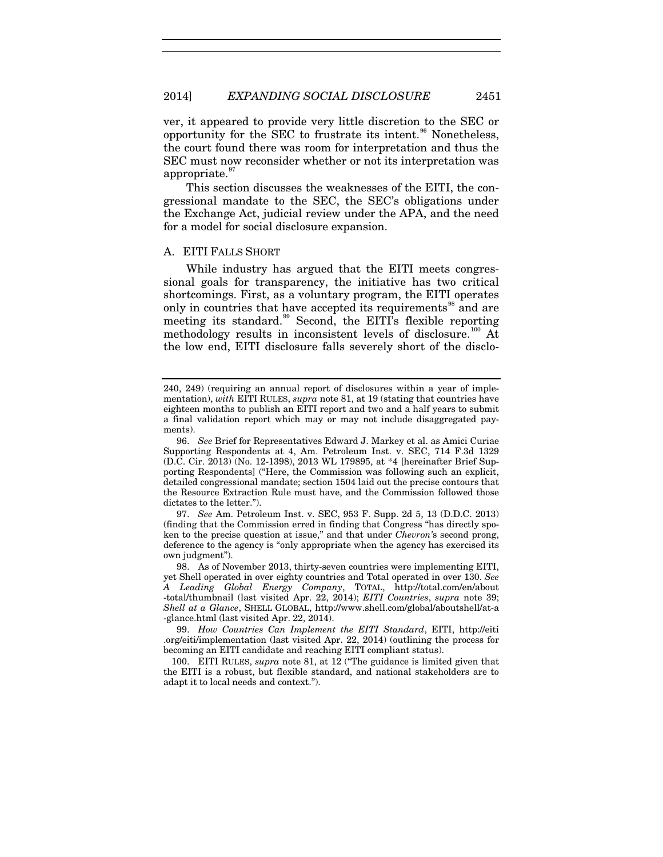<span id="page-17-6"></span>ver, it appeared to provide very little discretion to the SEC or opportunity for the SEC to frustrate its intent. $96$  Nonetheless, the court found there was room for interpretation and thus the SEC must now reconsider whether or not its interpretation was appropriate. $97$ 

This section discusses the weaknesses of the EITI, the congressional mandate to the SEC, the SEC's obligations under the Exchange Act, judicial review under the APA, and the need for a model for social disclosure expansion.

#### A. EITI FALLS SHORT

While industry has argued that the EITI meets congressional goals for transparency, the initiative has two critical shortcomings. First, as a voluntary program, the EITI operates only in countries that have accepted its requirements<sup>[98](#page-17-2)</sup> and are meeting its standard.<sup>[99](#page-17-3)</sup> Second, the EITI's flexible reporting methodology results in inconsistent levels of disclosure.<sup>[100](#page-17-4)</sup> At the low end, EITI disclosure falls severely short of the disclo-

<span id="page-17-5"></span><sup>240, 249) (</sup>requiring an annual report of disclosures within a year of implementation), *with* EITI RULES, *supra* note [81,](#page-13-4) at 19 (stating that countries have eighteen months to publish an EITI report and two and a half years to submit a final validation report which may or may not include disaggregated payments).

<span id="page-17-0"></span><sup>96.</sup> *See* Brief for Representatives Edward J. Markey et al. as Amici Curiae Supporting Respondents at 4, Am. Petroleum Inst. v. SEC, 714 F.3d 1329 (D.C. Cir. 2013) (No. 12-1398), 2013 WL 179895, at \*4 [hereinafter Brief Supporting Respondents] ("Here, the Commission was following such an explicit, detailed congressional mandate; section 1504 laid out the precise contours that the Resource Extraction Rule must have, and the Commission followed those dictates to the letter.").

<span id="page-17-1"></span><sup>97.</sup> *See* Am. Petroleum Inst. v. SEC, 953 F. Supp. 2d 5, 13 (D.D.C. 2013) (finding that the Commission erred in finding that Congress "has directly spoken to the precise question at issue," and that under *Chevron'*s second prong, deference to the agency is "only appropriate when the agency has exercised its own judgment").

<span id="page-17-2"></span><sup>98.</sup> As of November 2013, thirty-seven countries were implementing EITI, yet Shell operated in over eighty countries and Total operated in over 130. *See A Leading Global Energy Company*, TOTAL, http://total.com/en/about -total/thumbnail (last visited Apr. 22, 2014); *EITI Countries*, *supra* note [39;](#page-8-10) *Shell at a Glance*, SHELL GLOBAL, http://www.shell.com/global/aboutshell/at-a -glance.html (last visited Apr. 22, 2014).

<span id="page-17-3"></span><sup>99.</sup> *How Countries Can Implement the EITI Standard*, EITI, http://eiti .org/eiti/implementation (last visited Apr. 22, 2014) (outlining the process for becoming an EITI candidate and reaching EITI compliant status).

<span id="page-17-4"></span><sup>100.</sup> EITI RULES, *supra* note [81,](#page-13-4) at 12 ("The guidance is limited given that the EITI is a robust, but flexible standard, and national stakeholders are to adapt it to local needs and context.").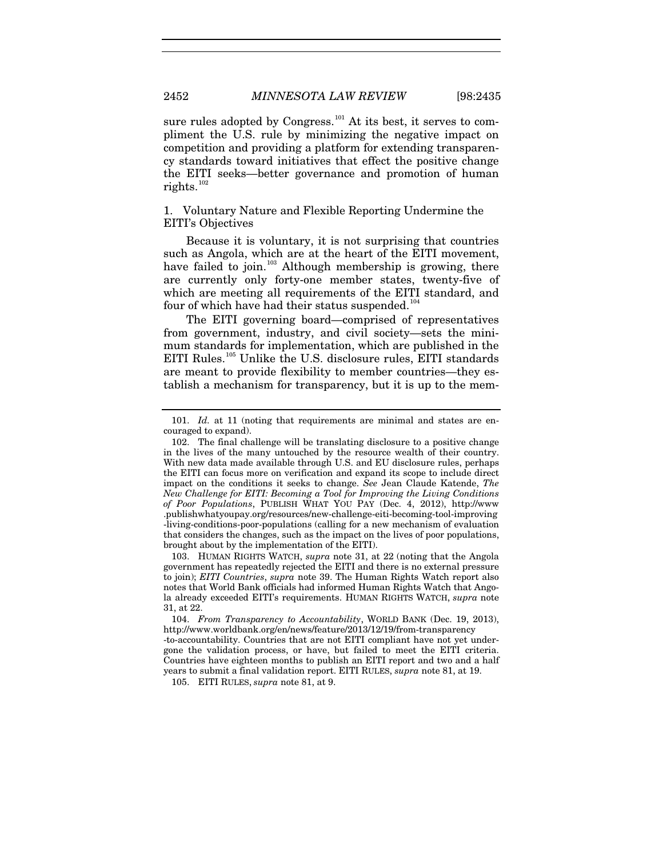sure rules adopted by Congress.<sup>[101](#page-18-0)</sup> At its best, it serves to compliment the U.S. rule by minimizing the negative impact on competition and providing a platform for extending transparency standards toward initiatives that effect the positive change the EITI seeks—better governance and promotion of human rights.<sup>[102](#page-18-1)</sup>

1. Voluntary Nature and Flexible Reporting Undermine the EITI's Objectives

Because it is voluntary, it is not surprising that countries such as Angola, which are at the heart of the EITI movement, have failed to join.<sup>[103](#page-18-2)</sup> Although membership is growing, there are currently only forty-one member states, twenty-five of which are meeting all requirements of the EITI standard, and four of which have had their status suspended. $104$ 

The EITI governing board—comprised of representatives from government, industry, and civil society—sets the minimum standards for implementation, which are published in the EITI Rules.<sup>[105](#page-18-4)</sup> Unlike the U.S. disclosure rules, EITI standards are meant to provide flexibility to member countries—they establish a mechanism for transparency, but it is up to the mem-

<span id="page-18-2"></span>103. HUMAN RIGHTS WATCH, *supra* note [31,](#page-7-7) at 22 (noting that the Angola government has repeatedly rejected the EITI and there is no external pressure to join); *EITI Countries*, *supra* note [39.](#page-8-10) The Human Rights Watch report also notes that World Bank officials had informed Human Rights Watch that Angola already exceeded EITI's requirements. HUMAN RIGHTS WATCH, *supra* note [31,](#page-7-7) at 22.

<span id="page-18-3"></span>104. *From Transparency to Accountability*, WORLD BANK (Dec. 19, 2013), http://www.worldbank.org/en/news/feature/2013/12/19/from-transparency -to-accountability. Countries that are not EITI compliant have not yet undergone the validation process, or have, but failed to meet the EITI criteria. Countries have eighteen months to publish an EITI report and two and a half years to submit a final validation report. EITI RULES, *supra* note [81,](#page-13-4) at 19.

<span id="page-18-4"></span>105. EITI RULES, *supra* not[e 81,](#page-13-4) at 9.

<span id="page-18-0"></span><sup>101.</sup> *Id.* at 11 (noting that requirements are minimal and states are encouraged to expand).

<span id="page-18-1"></span><sup>102.</sup> The final challenge will be translating disclosure to a positive change in the lives of the many untouched by the resource wealth of their country. With new data made available through U.S. and EU disclosure rules, perhaps the EITI can focus more on verification and expand its scope to include direct impact on the conditions it seeks to change. *See* Jean Claude Katende, *The New Challenge for EITI: Becoming a Tool for Improving the Living Conditions of Poor Populations*, PUBLISH WHAT YOU PAY (Dec. 4, 2012), http://www .publishwhatyoupay.org/resources/new-challenge-eiti-becoming-tool-improving -living-conditions-poor-populations (calling for a new mechanism of evaluation that considers the changes, such as the impact on the lives of poor populations, brought about by the implementation of the EITI).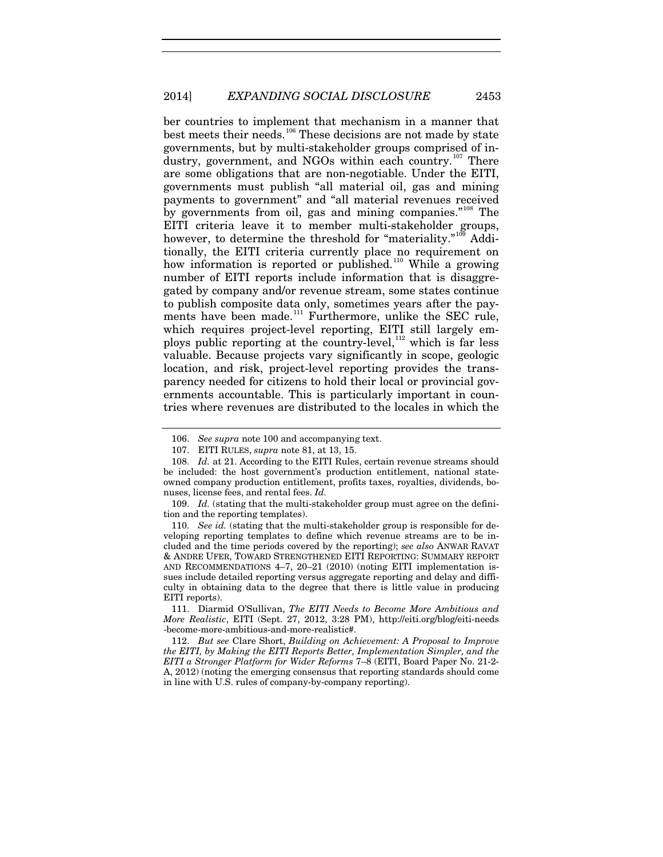<span id="page-19-7"></span>ber countries to implement that mechanism in a manner that best meets their needs.<sup>[106](#page-19-0)</sup> These decisions are not made by state governments, but by multi-stakeholder groups comprised of in-dustry, government, and NGOs within each country.<sup>[107](#page-19-1)</sup> There are some obligations that are non-negotiable. Under the EITI, governments must publish "all material oil, gas and mining payments to government" and "all material revenues received by governments from oil, gas and mining companies."<sup>[108](#page-19-2)</sup> The EITI criteria leave it to member multi-stakeholder groups, however, to determine the threshold for "materiality."<sup>[109](#page-19-3)</sup> Additionally, the EITI criteria currently place no requirement on how information is reported or published.<sup>[110](#page-19-4)</sup> While a growing number of EITI reports include information that is disaggregated by company and/or revenue stream, some states continue to publish composite data only, sometimes years after the pay-ments have been made.<sup>[111](#page-19-5)</sup> Furthermore, unlike the SEC rule, which requires project-level reporting, EITI still largely employs public reporting at the country-level, $112$  which is far less valuable. Because projects vary significantly in scope, geologic location, and risk, project-level reporting provides the transparency needed for citizens to hold their local or provincial governments accountable. This is particularly important in countries where revenues are distributed to the locales in which the

<span id="page-19-9"></span><span id="page-19-8"></span><sup>106.</sup> *See supra* note [100](#page-17-5) and accompanying text.

<sup>107.</sup> EITI RULES, *supra* note [81,](#page-13-4) at 13, 15.

<span id="page-19-2"></span><span id="page-19-1"></span><span id="page-19-0"></span><sup>108.</sup> *Id.* at 21. According to the EITI Rules, certain revenue streams should be included: the host government's production entitlement, national stateowned company production entitlement, profits taxes, royalties, dividends, bonuses, license fees, and rental fees. *Id.*

<span id="page-19-3"></span><sup>109.</sup> Id. (stating that the multi-stakeholder group must agree on the definition and the reporting templates).

<span id="page-19-4"></span><sup>110.</sup> *See id.* (stating that the multi-stakeholder group is responsible for developing reporting templates to define which revenue streams are to be included and the time periods covered by the reporting); *see also* ANWAR RAVAT & ANDRE UFER, TOWARD STRENGTHENED EITI REPORTING: SUMMARY REPORT AND RECOMMENDATIONS 4–7, 20–21 (2010) (noting EITI implementation issues include detailed reporting versus aggregate reporting and delay and difficulty in obtaining data to the degree that there is little value in producing EITI reports).

<span id="page-19-5"></span><sup>111.</sup> Diarmid O'Sullivan, *The EITI Needs to Become More Ambitious and More Realistic*, EITI (Sept. 27, 2012, 3:28 PM), http://eiti.org/blog/eiti-needs -become-more-ambitious-and-more-realistic#.

<span id="page-19-6"></span><sup>112.</sup> *But see* Clare Short, *Building on Achievement: A Proposal to Improve the EITI, by Making the EITI Reports Better, Implementation Simpler, and the EITI a Stronger Platform for Wider Reforms* 7–8 (EITI, Board Paper No. 21-2- A, 2012) (noting the emerging consensus that reporting standards should come in line with U.S. rules of company-by-company reporting).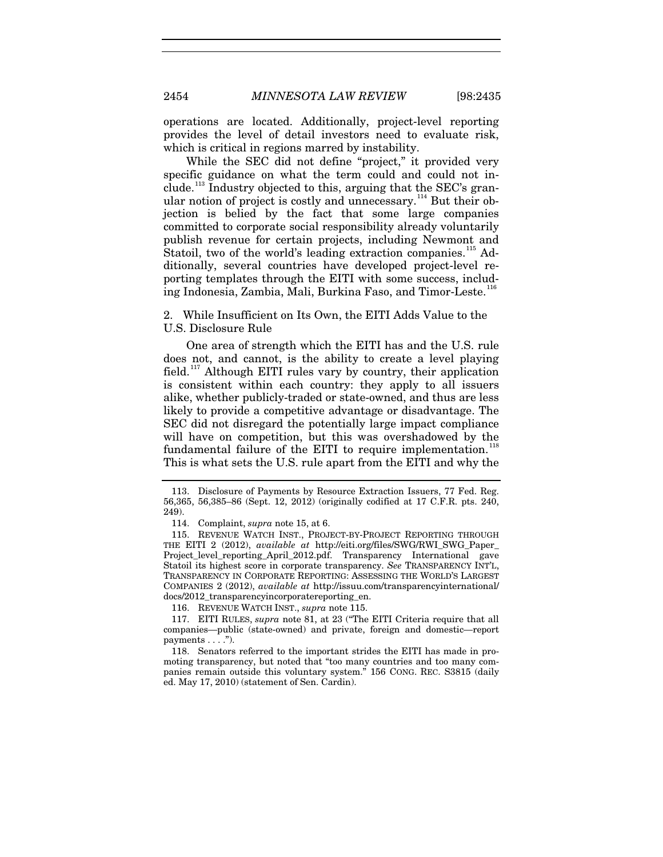operations are located. Additionally, project-level reporting provides the level of detail investors need to evaluate risk, which is critical in regions marred by instability.

<span id="page-20-7"></span>While the SEC did not define "project," it provided very specific guidance on what the term could and could not in $c$ lude.<sup>[113](#page-20-1)</sup> Industry objected to this, arguing that the SEC's gran-ular notion of project is costly and unnecessary.<sup>[114](#page-20-2)</sup> But their objection is belied by the fact that some large companies committed to corporate social responsibility already voluntarily publish revenue for certain projects, including Newmont and Statoil, two of the world's leading extraction companies.<sup>[115](#page-20-3)</sup> Additionally, several countries have developed project-level reporting templates through the EITI with some success, includ-ing Indonesia, Zambia, Mali, Burkina Faso, and Timor-Leste.<sup>[116](#page-20-4)</sup>

<span id="page-20-8"></span><span id="page-20-0"></span>2. While Insufficient on Its Own, the EITI Adds Value to the U.S. Disclosure Rule

One area of strength which the EITI has and the U.S. rule does not, and cannot, is the ability to create a level playing field.[117](#page-20-5) Although EITI rules vary by country, their application is consistent within each country: they apply to all issuers alike, whether publicly-traded or state-owned, and thus are less likely to provide a competitive advantage or disadvantage. The SEC did not disregard the potentially large impact compliance will have on competition, but this was overshadowed by the fundamental failure of the EITI to require implementation.<sup>[118](#page-20-6)</sup> This is what sets the U.S. rule apart from the EITI and why the

116. REVENUE WATCH INST., *supra* note [115.](#page-20-0)

<span id="page-20-1"></span><sup>113.</sup> Disclosure of Payments by Resource Extraction Issuers, 77 Fed. Reg. 56,365, 56,385–86 (Sept. 12, 2012) (originally codified at 17 C.F.R. pts. 240, 249).

<sup>114.</sup> Complaint, *supra* not[e 15,](#page-3-5) at 6.

<span id="page-20-3"></span><span id="page-20-2"></span><sup>115.</sup> REVENUE WATCH INST., PROJECT-BY-PROJECT REPORTING THROUGH THE EITI 2 (2012), *available at* http://eiti.org/files/SWG/RWI\_SWG\_Paper\_ Project\_level\_reporting\_April\_2012.pdf. Transparency International gave Statoil its highest score in corporate transparency. *See* TRANSPARENCY INT'L, TRANSPARENCY IN CORPORATE REPORTING: ASSESSING THE WORLD'S LARGEST COMPANIES 2 (2012), *available at* http://issuu.com/transparencyinternational/ docs/2012\_transparencyincorporatereporting\_en.

<span id="page-20-5"></span><span id="page-20-4"></span><sup>117.</sup> EITI RULES, *supra* note [81,](#page-13-4) at 23 ("The EITI Criteria require that all companies—public (state-owned) and private, foreign and domestic—report payments  $\dots$ .").

<span id="page-20-6"></span><sup>118.</sup> Senators referred to the important strides the EITI has made in promoting transparency, but noted that "too many countries and too many companies remain outside this voluntary system." 156 CONG. REC. S3815 (daily ed. May 17, 2010) (statement of Sen. Cardin).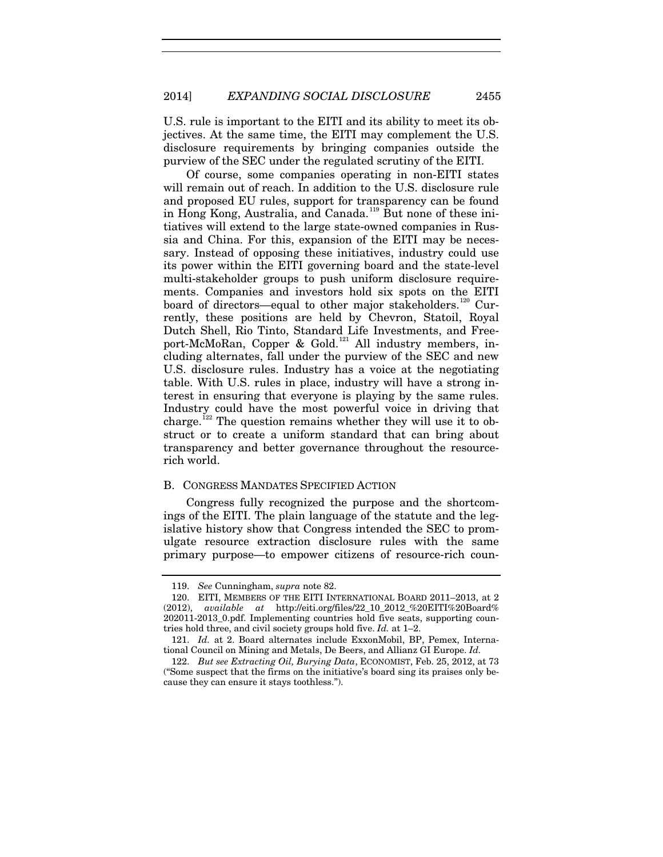U.S. rule is important to the EITI and its ability to meet its objectives. At the same time, the EITI may complement the U.S. disclosure requirements by bringing companies outside the purview of the SEC under the regulated scrutiny of the EITI.

Of course, some companies operating in non-EITI states will remain out of reach. In addition to the U.S. disclosure rule and proposed EU rules, support for transparency can be found in Hong Kong, Australia, and Canada.[119](#page-21-0) But none of these initiatives will extend to the large state-owned companies in Russia and China. For this, expansion of the EITI may be necessary. Instead of opposing these initiatives, industry could use its power within the EITI governing board and the state-level multi-stakeholder groups to push uniform disclosure requirements. Companies and investors hold six spots on the EITI board of directors—equal to other major stakeholders.<sup>[120](#page-21-1)</sup> Currently, these positions are held by Chevron, Statoil, Royal Dutch Shell, Rio Tinto, Standard Life Investments, and Free-port-McMoRan, Copper & Gold.<sup>[121](#page-21-2)</sup> All industry members, including alternates, fall under the purview of the SEC and new U.S. disclosure rules. Industry has a voice at the negotiating table. With U.S. rules in place, industry will have a strong interest in ensuring that everyone is playing by the same rules. Industry could have the most powerful voice in driving that charge.<sup>[122](#page-21-3)</sup> The question remains whether they will use it to obstruct or to create a uniform standard that can bring about transparency and better governance throughout the resourcerich world.

#### <span id="page-21-4"></span>B. CONGRESS MANDATES SPECIFIED ACTION

Congress fully recognized the purpose and the shortcomings of the EITI. The plain language of the statute and the legislative history show that Congress intended the SEC to promulgate resource extraction disclosure rules with the same primary purpose—to empower citizens of resource-rich coun-

<sup>119.</sup> *See* Cunningham, *supra* note [82.](#page-13-5)

<span id="page-21-1"></span><span id="page-21-0"></span><sup>120.</sup> EITI, MEMBERS OF THE EITI INTERNATIONAL BOARD 2011–2013, at 2 (2012), *available at* http://eiti.org/files/22\_10\_2012\_%20EITI%20Board% 202011-2013\_0.pdf. Implementing countries hold five seats, supporting countries hold three, and civil society groups hold five. *Id.* at 1–2.

<span id="page-21-2"></span><sup>121.</sup> *Id.* at 2. Board alternates include ExxonMobil, BP, Pemex, International Council on Mining and Metals, De Beers, and Allianz GI Europe. *Id.* 

<span id="page-21-3"></span><sup>122.</sup> *But see Extracting Oil, Burying Data*, ECONOMIST, Feb. 25, 2012, at 73 ("Some suspect that the firms on the initiative's board sing its praises only because they can ensure it stays toothless.").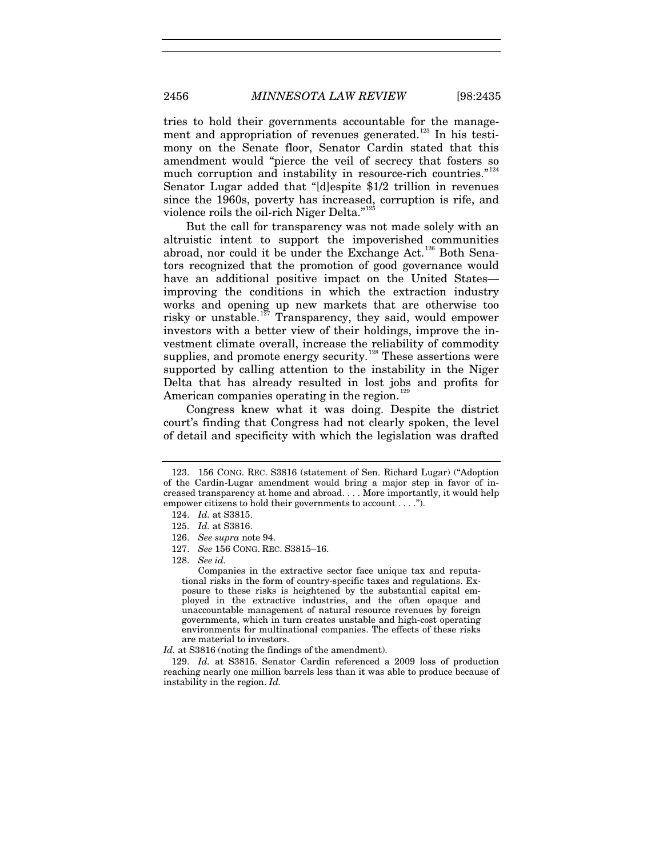tries to hold their governments accountable for the manage-ment and appropriation of revenues generated.<sup>[123](#page-22-0)</sup> In his testimony on the Senate floor, Senator Cardin stated that this amendment would "pierce the veil of secrecy that fosters so much corruption and instability in resource-rich countries."<sup>[124](#page-22-1)</sup> Senator Lugar added that "[d]espite \$1/2 trillion in revenues since the 1960s, poverty has increased, corruption is rife, and violence roils the oil-rich Niger Delta."<sup>[125](#page-22-2)</sup>

But the call for transparency was not made solely with an altruistic intent to support the impoverished communities abroad, nor could it be under the Exchange  $Act.^{126}$  $Act.^{126}$  $Act.^{126}$  Both Senators recognized that the promotion of good governance would have an additional positive impact on the United States improving the conditions in which the extraction industry works and opening up new markets that are otherwise too risky or unstable.<sup>[127](#page-22-4)</sup> Transparency, they said, would empower investors with a better view of their holdings, improve the investment climate overall, increase the reliability of commodity supplies, and promote energy security.<sup>[128](#page-22-5)</sup> These assertions were supported by calling attention to the instability in the Niger Delta that has already resulted in lost jobs and profits for American companies operating in the region.<sup>[129](#page-22-6)</sup>

Congress knew what it was doing. Despite the district court's finding that Congress had not clearly spoken, the level of detail and specificity with which the legislation was drafted

Id. at S3816 (noting the findings of the amendment).

<span id="page-22-1"></span><span id="page-22-0"></span><sup>123.</sup> 156 CONG. REC. S3816 (statement of Sen. Richard Lugar) ("Adoption of the Cardin-Lugar amendment would bring a major step in favor of increased transparency at home and abroad. . . . More importantly, it would help empower citizens to hold their governments to account . . . .").

<sup>124.</sup> *Id.* at S3815.

<span id="page-22-2"></span><sup>125.</sup> *Id.* at S3816.

<span id="page-22-3"></span><sup>126.</sup> *See supra* note [94.](#page-16-3) 

<span id="page-22-4"></span><sup>127.</sup> *See* 156 CONG. REC. S3815–16.

<span id="page-22-5"></span><sup>128.</sup> *See id.*

Companies in the extractive sector face unique tax and reputational risks in the form of country-specific taxes and regulations. Exposure to these risks is heightened by the substantial capital employed in the extractive industries, and the often opaque and unaccountable management of natural resource revenues by foreign governments, which in turn creates unstable and high-cost operating environments for multinational companies. The effects of these risks are material to investors.

<span id="page-22-6"></span><sup>129.</sup> *Id.* at S3815. Senator Cardin referenced a 2009 loss of production reaching nearly one million barrels less than it was able to produce because of instability in the region. *Id.*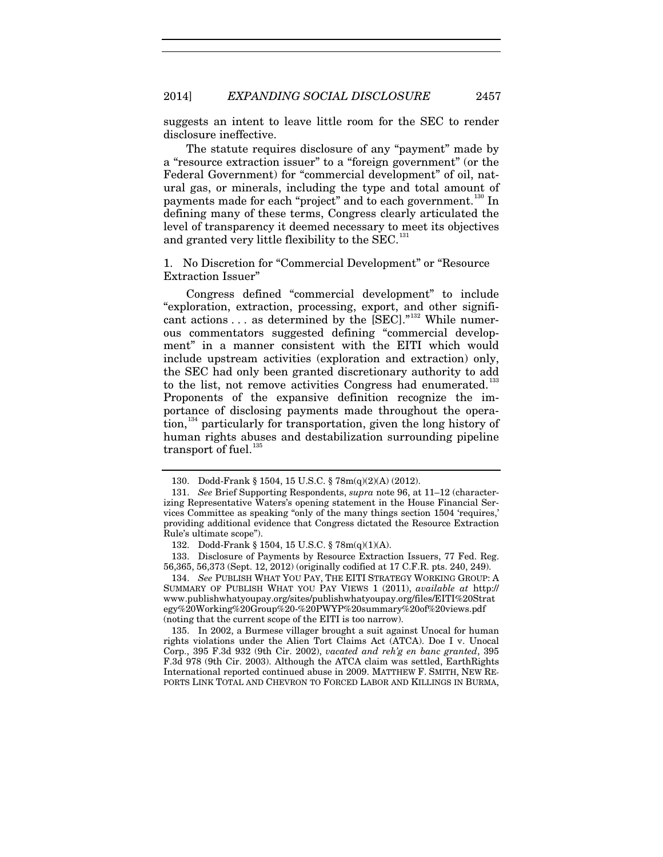suggests an intent to leave little room for the SEC to render disclosure ineffective.

The statute requires disclosure of any "payment" made by a "resource extraction issuer" to a "foreign government" (or the Federal Government) for "commercial development" of oil, natural gas, or minerals, including the type and total amount of payments made for each "project" and to each government.<sup>[130](#page-23-0)</sup> In defining many of these terms, Congress clearly articulated the level of transparency it deemed necessary to meet its objectives and granted very little flexibility to the SEC.<sup>[131](#page-23-1)</sup>

1. No Discretion for "Commercial Development" or "Resource Extraction Issuer"

Congress defined "commercial development" to include "exploration, extraction, processing, export, and other signifi-cant actions . . . as determined by the [SEC]."<sup>[132](#page-23-2)</sup> While numerous commentators suggested defining "commercial development" in a manner consistent with the EITI which would include upstream activities (exploration and extraction) only, the SEC had only been granted discretionary authority to add to the list, not remove activities Congress had enumerated.<sup>[133](#page-23-3)</sup> Proponents of the expansive definition recognize the importance of disclosing payments made throughout the opera-tion,<sup>[134](#page-23-4)</sup> particularly for transportation, given the long history of human rights abuses and destabilization surrounding pipeline transport of fuel. $135$ 

<span id="page-23-4"></span>134. *See* PUBLISH WHAT YOU PAY, THE EITI STRATEGY WORKING GROUP: A SUMMARY OF PUBLISH WHAT YOU PAY VIEWS 1 (2011), *available at* http:// www.publishwhatyoupay.org/sites/publishwhatyoupay.org/files/EITI%20Strat egy%20Working%20Group%20-%20PWYP%20summary%20of%20views.pdf (noting that the current scope of the EITI is too narrow).

<span id="page-23-5"></span>135. In 2002, a Burmese villager brought a suit against Unocal for human rights violations under the Alien Tort Claims Act (ATCA). Doe I v. Unocal Corp., 395 F.3d 932 (9th Cir. 2002), *vacated and reh'g en banc granted*, 395 F.3d 978 (9th Cir. 2003). Although the ATCA claim was settled, EarthRights International reported continued abuse in 2009. MATTHEW F. SMITH, NEW RE-PORTS LINK TOTAL AND CHEVRON TO FORCED LABOR AND KILLINGS IN BURMA,

<span id="page-23-6"></span><sup>130.</sup> Dodd-Frank § 1504, 15 U.S.C. § 78m(q)(2)(A) (2012).

<span id="page-23-1"></span><span id="page-23-0"></span><sup>131.</sup> *See* Brief Supporting Respondents, *supra* note [96,](#page-17-6) at 11–12 (characterizing Representative Waters's opening statement in the House Financial Services Committee as speaking "only of the many things section 1504 'requires,' providing additional evidence that Congress dictated the Resource Extraction Rule's ultimate scope").

<sup>132.</sup> Dodd-Frank § 1504, 15 U.S.C. § 78m(q)(1)(A).

<span id="page-23-3"></span><span id="page-23-2"></span><sup>133.</sup> Disclosure of Payments by Resource Extraction Issuers, 77 Fed. Reg. 56,365, 56,373 (Sept. 12, 2012) (originally codified at 17 C.F.R. pts. 240, 249).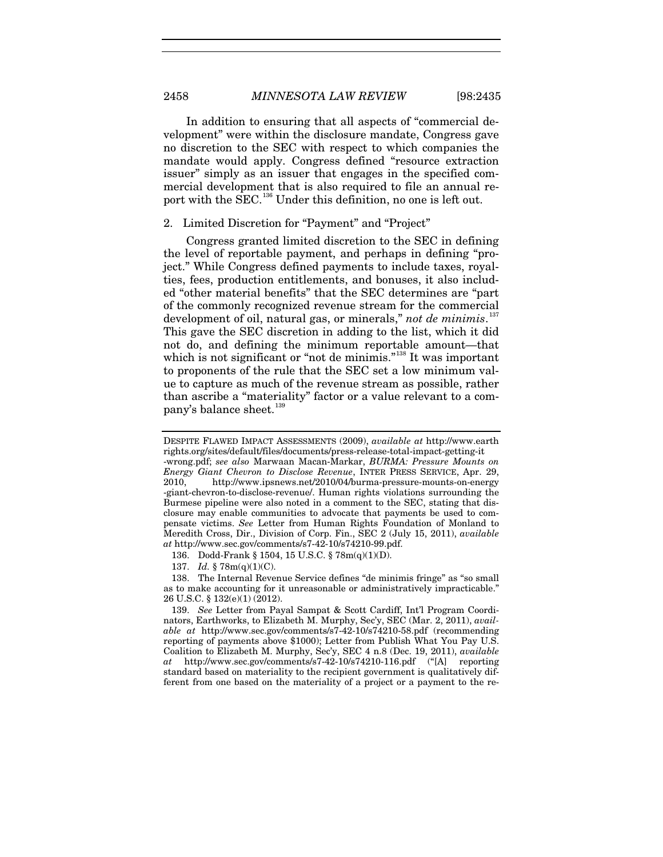In addition to ensuring that all aspects of "commercial development" were within the disclosure mandate, Congress gave no discretion to the SEC with respect to which companies the mandate would apply. Congress defined "resource extraction issuer" simply as an issuer that engages in the specified commercial development that is also required to file an annual re-port with the SEC.<sup>[136](#page-24-0)</sup> Under this definition, no one is left out.

# 2. Limited Discretion for "Payment" and "Project"

Congress granted limited discretion to the SEC in defining the level of reportable payment, and perhaps in defining "project." While Congress defined payments to include taxes, royalties, fees, production entitlements, and bonuses, it also included "other material benefits" that the SEC determines are "part of the commonly recognized revenue stream for the commercial development of oil, natural gas, or minerals," *not de minimis*. [137](#page-24-1) This gave the SEC discretion in adding to the list, which it did not do, and defining the minimum reportable amount—that which is not significant or "not de minimis."<sup>[138](#page-24-2)</sup> It was important to proponents of the rule that the SEC set a low minimum value to capture as much of the revenue stream as possible, rather than ascribe a "materiality" factor or a value relevant to a com-pany's balance sheet.<sup>[139](#page-24-3)</sup>

137. *Id.* § 78m(q)(1)(C).

<span id="page-24-2"></span><span id="page-24-1"></span><span id="page-24-0"></span>138. The Internal Revenue Service defines "de minimis fringe" as "so small as to make accounting for it unreasonable or administratively impracticable." 26 U.S.C. § 132(e)(1) (2012).

<span id="page-24-3"></span>139. *See* Letter from Payal Sampat & Scott Cardiff, Int'l Program Coordinators, Earthworks, to Elizabeth M. Murphy, Sec'y, SEC (Mar. 2, 2011), *available at* http://www.sec.gov/comments/s7-42-10/s74210-58.pdf (recommending reporting of payments above \$1000); Letter from Publish What You Pay U.S. Coalition to Elizabeth M. Murphy, Sec'y, SEC 4 n.8 (Dec. 19, 2011), *available at* http://www.sec.gov/comments/s7-42-10/s74210-116.pdf ("[A] reporting standard based on materiality to the recipient government is qualitatively different from one based on the materiality of a project or a payment to the re-

DESPITE FLAWED IMPACT ASSESSMENTS (2009), *available at* http://www.earth rights.org/sites/default/files/documents/press-release-total-impact-getting-it

<sup>-</sup>wrong.pdf; *see also* Marwaan Macan-Markar, *BURMA: Pressure Mounts on Energy Giant Chevron to Disclose Revenue*, INTER PRESS SERVICE, Apr. 29, 2010, http://www.ipsnews.net/2010/04/burma-pressure-mounts-on-energy -giant-chevron-to-disclose-revenue/. Human rights violations surrounding the Burmese pipeline were also noted in a comment to the SEC, stating that disclosure may enable communities to advocate that payments be used to compensate victims. *See* Letter from Human Rights Foundation of Monland to Meredith Cross, Dir., Division of Corp. Fin., SEC 2 (July 15, 2011), *available at* http://www.sec.gov/comments/s7-42-10/s74210-99.pdf.

<sup>136.</sup> Dodd-Frank § 1504, 15 U.S.C. § 78m(q)(1)(D).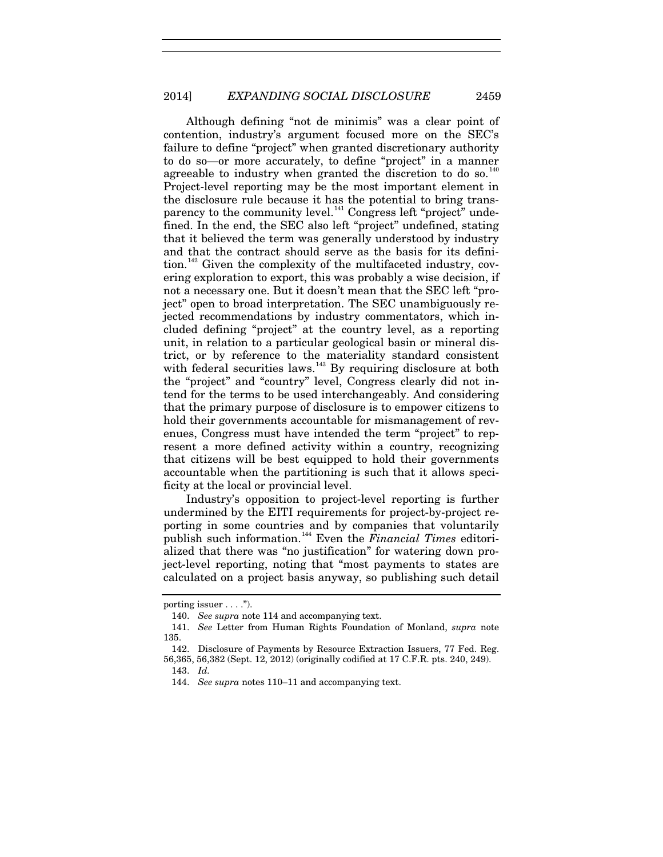Although defining "not de minimis" was a clear point of contention, industry's argument focused more on the SEC's failure to define "project" when granted discretionary authority to do so—or more accurately, to define "project" in a manner agreeable to industry when granted the discretion to do so.<sup>[140](#page-25-0)</sup> Project-level reporting may be the most important element in the disclosure rule because it has the potential to bring trans-parency to the community level.<sup>[141](#page-25-1)</sup> Congress left "project" undefined. In the end, the SEC also left "project" undefined, stating that it believed the term was generally understood by industry and that the contract should serve as the basis for its defini- $\chi$  tion.<sup>[142](#page-25-2)</sup> Given the complexity of the multifaceted industry, covering exploration to export, this was probably a wise decision, if not a necessary one. But it doesn't mean that the SEC left "project" open to broad interpretation. The SEC unambiguously rejected recommendations by industry commentators, which included defining "project" at the country level, as a reporting unit, in relation to a particular geological basin or mineral district, or by reference to the materiality standard consistent with federal securities laws.<sup>[143](#page-25-3)</sup> By requiring disclosure at both the "project" and "country" level, Congress clearly did not intend for the terms to be used interchangeably. And considering that the primary purpose of disclosure is to empower citizens to hold their governments accountable for mismanagement of revenues, Congress must have intended the term "project" to represent a more defined activity within a country, recognizing that citizens will be best equipped to hold their governments accountable when the partitioning is such that it allows specificity at the local or provincial level.

Industry's opposition to project-level reporting is further undermined by the EITI requirements for project-by-project reporting in some countries and by companies that voluntarily publish such information. [144](#page-25-4) Even the *Financial Times* editorialized that there was "no justification" for watering down project-level reporting, noting that "most payments to states are calculated on a project basis anyway, so publishing such detail

<span id="page-25-0"></span>porting issuer . . . .").

<sup>140.</sup> *See supra* note [114](#page-20-7) and accompanying text.

<span id="page-25-1"></span><sup>141.</sup> *See* Letter from Human Rights Foundation of Monland, *supra* note [135.](#page-23-6)

<span id="page-25-4"></span><span id="page-25-3"></span><span id="page-25-2"></span><sup>142.</sup> Disclosure of Payments by Resource Extraction Issuers, 77 Fed. Reg. 56,365, 56,382 (Sept. 12, 2012) (originally codified at 17 C.F.R. pts. 240, 249).

<sup>143.</sup> *Id.*

<sup>144.</sup> *See supra* note[s 110–](#page-19-7)11 and accompanying text.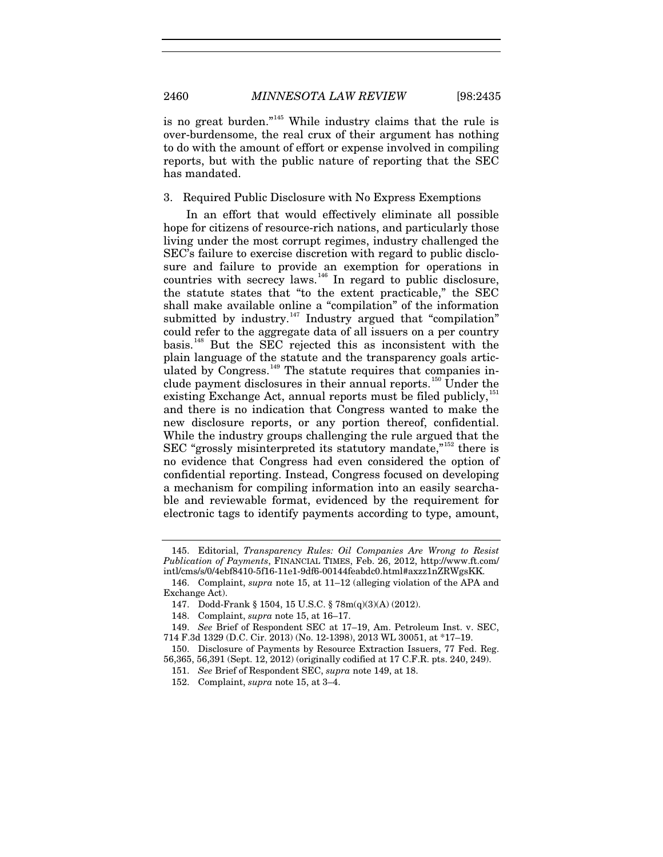<span id="page-26-9"></span>is no great burden."<sup>[145](#page-26-1)</sup> While industry claims that the rule is over-burdensome, the real crux of their argument has nothing to do with the amount of effort or expense involved in compiling reports, but with the public nature of reporting that the SEC has mandated.

# 3. Required Public Disclosure with No Express Exemptions

<span id="page-26-0"></span>In an effort that would effectively eliminate all possible hope for citizens of resource-rich nations, and particularly those living under the most corrupt regimes, industry challenged the SEC's failure to exercise discretion with regard to public disclosure and failure to provide an exemption for operations in countries with secrecy laws.<sup>[146](#page-26-2)</sup> In regard to public disclosure, the statute states that "to the extent practicable," the SEC shall make available online a "compilation" of the information submitted by industry.<sup>[147](#page-26-3)</sup> Industry argued that "compilation" could refer to the aggregate data of all issuers on a per country basis.[148](#page-26-4) But the SEC rejected this as inconsistent with the plain language of the statute and the transparency goals articulated by  $Congress.$ <sup>[149](#page-26-5)</sup> The statute requires that companies in-clude payment disclosures in their annual reports.<sup>[150](#page-26-6)</sup> Under the existing Exchange Act, annual reports must be filed publicly,  $^{151}$  $^{151}$  $^{151}$ and there is no indication that Congress wanted to make the new disclosure reports, or any portion thereof, confidential. While the industry groups challenging the rule argued that the SEC "grossly misinterpreted its statutory mandate,"<sup>[152](#page-26-8)</sup> there is no evidence that Congress had even considered the option of confidential reporting. Instead, Congress focused on developing a mechanism for compiling information into an easily searchable and reviewable format, evidenced by the requirement for electronic tags to identify payments according to type, amount,

<span id="page-26-1"></span><sup>145.</sup> Editorial, *Transparency Rules: Oil Companies Are Wrong to Resist Publication of Payments*, FINANCIAL TIMES, Feb. 26, 2012, http://www.ft.com/ intl/cms/s/0/4ebf8410-5f16-11e1-9df6-00144feabdc0.html#axzz1nZRWgsKK.

<span id="page-26-3"></span><span id="page-26-2"></span><sup>146.</sup> Complaint, *supra* note [15,](#page-3-5) at 11–12 (alleging violation of the APA and Exchange Act).

<sup>147.</sup> Dodd-Frank § 1504, 15 U.S.C. § 78m(q)(3)(A) (2012).

<sup>148.</sup> Complaint, *supra* not[e 15,](#page-3-5) at 16–17.

<span id="page-26-5"></span><span id="page-26-4"></span><sup>149.</sup> *See* Brief of Respondent SEC at 17–19, Am. Petroleum Inst. v. SEC, 714 F.3d 1329 (D.C. Cir. 2013) (No. 12-1398), 2013 WL 30051, at \*17–19.

<span id="page-26-8"></span><span id="page-26-7"></span><span id="page-26-6"></span><sup>150.</sup> Disclosure of Payments by Resource Extraction Issuers, 77 Fed. Reg. 56,365, 56,391 (Sept. 12, 2012) (originally codified at 17 C.F.R. pts. 240, 249).

<sup>151.</sup> *See* Brief of Respondent SEC, *supra* not[e 149,](#page-26-0) at 18.

<sup>152.</sup> Complaint, *supra* not[e 15,](#page-3-5) at 3–4.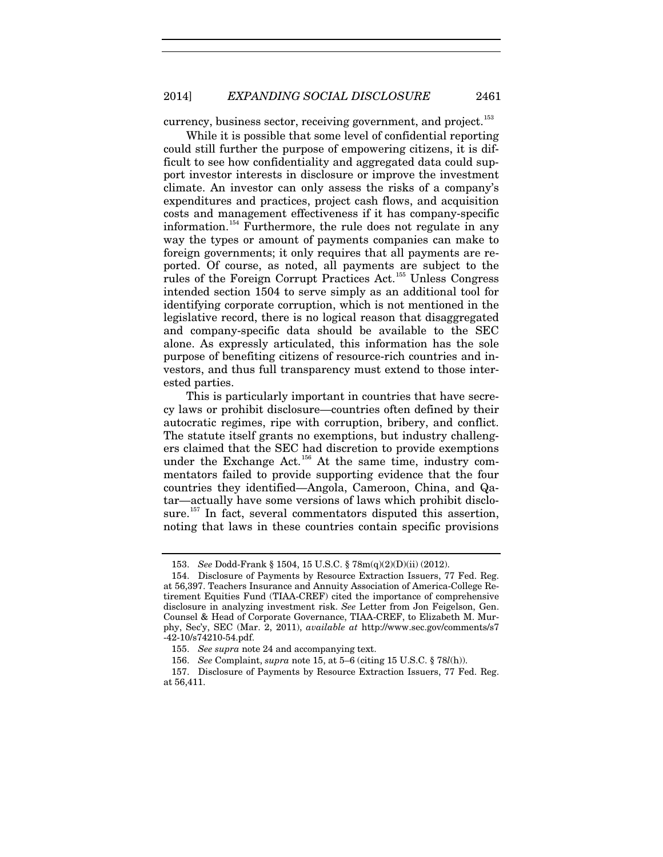currency, business sector, receiving government, and project.<sup>[153](#page-27-0)</sup>

While it is possible that some level of confidential reporting could still further the purpose of empowering citizens, it is difficult to see how confidentiality and aggregated data could support investor interests in disclosure or improve the investment climate. An investor can only assess the risks of a company's expenditures and practices, project cash flows, and acquisition costs and management effectiveness if it has company-specific information.<sup>[154](#page-27-1)</sup> Furthermore, the rule does not regulate in any way the types or amount of payments companies can make to foreign governments; it only requires that all payments are reported. Of course, as noted, all payments are subject to the rules of the Foreign Corrupt Practices Act.<sup>[155](#page-27-2)</sup> Unless Congress intended section 1504 to serve simply as an additional tool for identifying corporate corruption, which is not mentioned in the legislative record, there is no logical reason that disaggregated and company-specific data should be available to the SEC alone. As expressly articulated, this information has the sole purpose of benefiting citizens of resource-rich countries and investors, and thus full transparency must extend to those interested parties.

<span id="page-27-5"></span>This is particularly important in countries that have secrecy laws or prohibit disclosure—countries often defined by their autocratic regimes, ripe with corruption, bribery, and conflict. The statute itself grants no exemptions, but industry challengers claimed that the SEC had discretion to provide exemptions under the Exchange Act.<sup>[156](#page-27-3)</sup> At the same time, industry commentators failed to provide supporting evidence that the four countries they identified—Angola, Cameroon, China, and Qatar—actually have some versions of laws which prohibit disclo-sure.<sup>[157](#page-27-4)</sup> In fact, several commentators disputed this assertion, noting that laws in these countries contain specific provisions

<sup>153.</sup> *See* Dodd-Frank § 1504, 15 U.S.C. § 78m(q)(2)(D)(ii) (2012).

<span id="page-27-1"></span><span id="page-27-0"></span><sup>154.</sup> Disclosure of Payments by Resource Extraction Issuers, 77 Fed. Reg. at 56,397. Teachers Insurance and Annuity Association of America-College Retirement Equities Fund (TIAA-CREF) cited the importance of comprehensive disclosure in analyzing investment risk. *See* Letter from Jon Feigelson, Gen. Counsel & Head of Corporate Governance, TIAA-CREF, to Elizabeth M. Murphy, Sec'y, SEC (Mar. 2, 2011), *available at* http://www.sec.gov/comments/s7 -42-10/s74210-54.pdf.

<sup>155.</sup> *See supra* note [24](#page-5-3) and accompanying text.

<sup>156.</sup> *See* Complaint, *supra* note [15,](#page-3-5) at 5–6 (citing 15 U.S.C. § 78*l*(h)).

<span id="page-27-4"></span><span id="page-27-3"></span><span id="page-27-2"></span><sup>157.</sup> Disclosure of Payments by Resource Extraction Issuers, 77 Fed. Reg. at 56,411.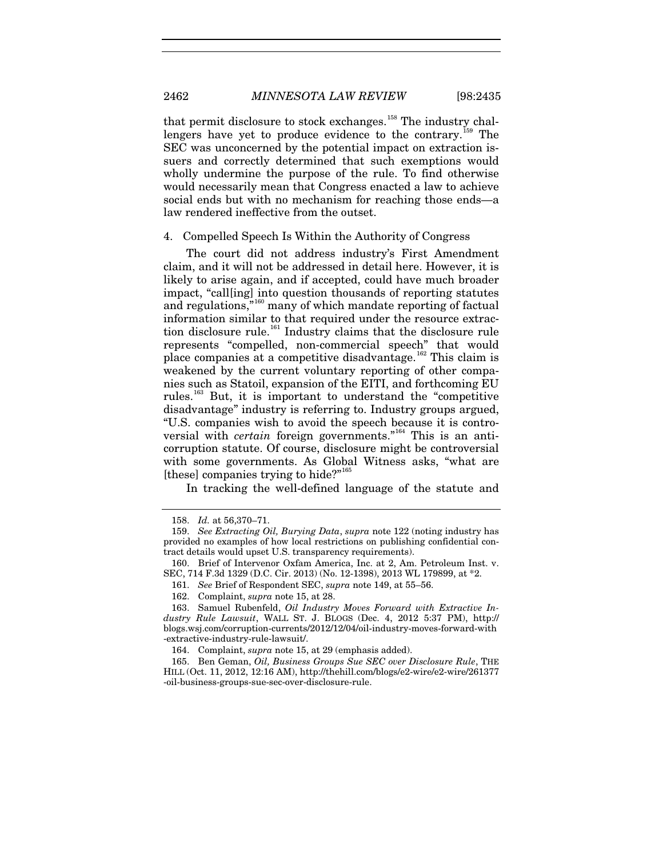that permit disclosure to stock exchanges.<sup>[158](#page-28-0)</sup> The industry chal-lengers have yet to produce evidence to the contrary.<sup>[159](#page-28-1)</sup> The SEC was unconcerned by the potential impact on extraction issuers and correctly determined that such exemptions would wholly undermine the purpose of the rule. To find otherwise would necessarily mean that Congress enacted a law to achieve social ends but with no mechanism for reaching those ends—a law rendered ineffective from the outset.

#### 4. Compelled Speech Is Within the Authority of Congress

The court did not address industry's First Amendment claim, and it will not be addressed in detail here. However, it is likely to arise again, and if accepted, could have much broader impact, "call[ing] into question thousands of reporting statutes and regulations,"[160](#page-28-2) many of which mandate reporting of factual information similar to that required under the resource extrac-tion disclosure rule.<sup>[161](#page-28-3)</sup> Industry claims that the disclosure rule represents "compelled, non-commercial speech" that would place companies at a competitive disadvantage.<sup>[162](#page-28-4)</sup> This claim is weakened by the current voluntary reporting of other companies such as Statoil, expansion of the EITI, and forthcoming EU rules.[163](#page-28-5) But, it is important to understand the "competitive disadvantage" industry is referring to. Industry groups argued, "U.S. companies wish to avoid the speech because it is controversial with *certain* foreign governments."<sup>[164](#page-28-6)</sup> This is an anticorruption statute. Of course, disclosure might be controversial with some governments. As Global Witness asks, "what are [these] companies trying to hide?"<sup>[165](#page-28-7)</sup>

In tracking the well-defined language of the statute and

161. *See* Brief of Respondent SEC, *supra* note [149,](#page-26-0) at 55–56.

<sup>158.</sup> *Id.* at 56,370–71.

<span id="page-28-1"></span><span id="page-28-0"></span><sup>159.</sup> *See Extracting Oil, Burying Data*, *supra* not[e 122](#page-21-4) (noting industry has provided no examples of how local restrictions on publishing confidential contract details would upset U.S. transparency requirements).

<span id="page-28-3"></span><span id="page-28-2"></span><sup>160.</sup> Brief of Intervenor Oxfam America, Inc. at 2, Am. Petroleum Inst. v. SEC, 714 F.3d 1329 (D.C. Cir. 2013) (No. 12-1398), 2013 WL 179899, at \*2.

<sup>162.</sup> Complaint, *supra* not[e 15,](#page-3-5) at 28.

<span id="page-28-5"></span><span id="page-28-4"></span><sup>163.</sup> Samuel Rubenfeld, *Oil Industry Moves Forward with Extractive Industry Rule Lawsuit*, WALL ST. J. BLOGS (Dec. 4, 2012 5:37 PM), http:// blogs.wsj.com/corruption-currents/2012/12/04/oil-industry-moves-forward-with -extractive-industry-rule-lawsuit/.

<sup>164.</sup> Complaint, *supra* not[e 15,](#page-3-5) at 29 (emphasis added).

<span id="page-28-7"></span><span id="page-28-6"></span><sup>165.</sup> Ben Geman, *Oil, Business Groups Sue SEC over Disclosure Rule*, THE HILL (Oct. 11, 2012, 12:16 AM), http://thehill.com/blogs/e2-wire/e2-wire/261377 -oil-business-groups-sue-sec-over-disclosure-rule.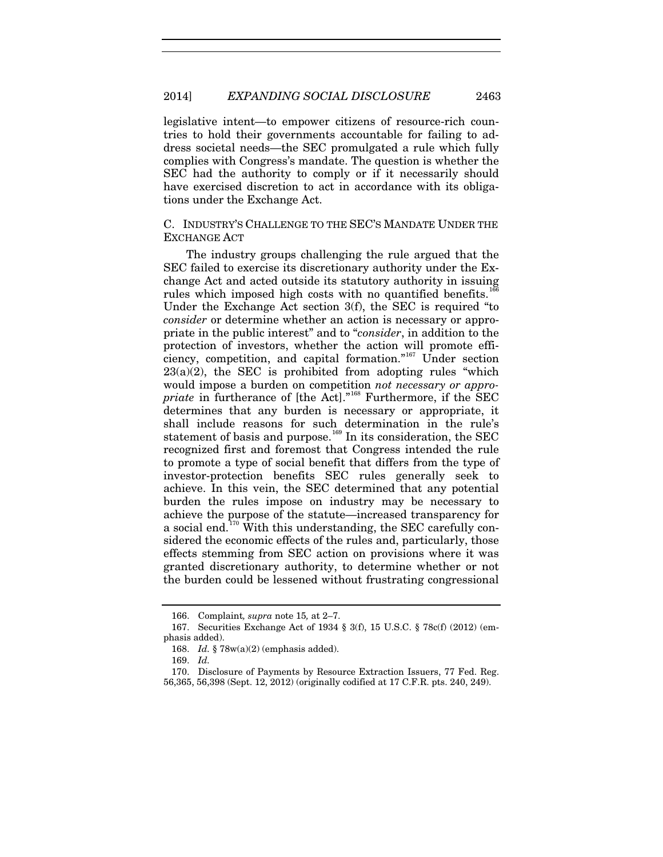legislative intent—to empower citizens of resource-rich countries to hold their governments accountable for failing to address societal needs—the SEC promulgated a rule which fully complies with Congress's mandate. The question is whether the SEC had the authority to comply or if it necessarily should have exercised discretion to act in accordance with its obligations under the Exchange Act.

# C. INDUSTRY'S CHALLENGE TO THE SEC'S MANDATE UNDER THE EXCHANGE ACT

The industry groups challenging the rule argued that the SEC failed to exercise its discretionary authority under the Exchange Act and acted outside its statutory authority in issuing rules which imposed high costs with no quantified benefits.<sup>1</sup> Under the Exchange Act section 3(f), the SEC is required "to *consider* or determine whether an action is necessary or appropriate in the public interest" and to "*consider*, in addition to the protection of investors, whether the action will promote efficiency, competition, and capital formation."[167](#page-29-1) Under section 23(a)(2), the SEC is prohibited from adopting rules "which would impose a burden on competition *not necessary or appropriate* in furtherance of [the Act]."[168](#page-29-2) Furthermore, if the SEC determines that any burden is necessary or appropriate, it shall include reasons for such determination in the rule's statement of basis and purpose.<sup>[169](#page-29-3)</sup> In its consideration, the SEC recognized first and foremost that Congress intended the rule to promote a type of social benefit that differs from the type of investor-protection benefits SEC rules generally seek to achieve. In this vein, the SEC determined that any potential burden the rules impose on industry may be necessary to achieve the purpose of the statute—increased transparency for a social end.<sup>[170](#page-29-4)</sup> With this understanding, the SEC carefully considered the economic effects of the rules and, particularly, those effects stemming from SEC action on provisions where it was granted discretionary authority, to determine whether or not the burden could be lessened without frustrating congressional

<sup>166.</sup> Complaint*, supra* note [15](#page-3-5)*,* at 2–7.

<span id="page-29-2"></span><span id="page-29-1"></span><span id="page-29-0"></span><sup>167.</sup> Securities Exchange Act of 1934 § 3(f), 15 U.S.C. § 78c(f) (2012) (emphasis added).

<sup>168.</sup> *Id.* § 78w(a)(2) (emphasis added).

<sup>169.</sup> *Id.* 

<span id="page-29-4"></span><span id="page-29-3"></span><sup>170.</sup> Disclosure of Payments by Resource Extraction Issuers, 77 Fed. Reg. 56,365, 56,398 (Sept. 12, 2012) (originally codified at 17 C.F.R. pts. 240, 249).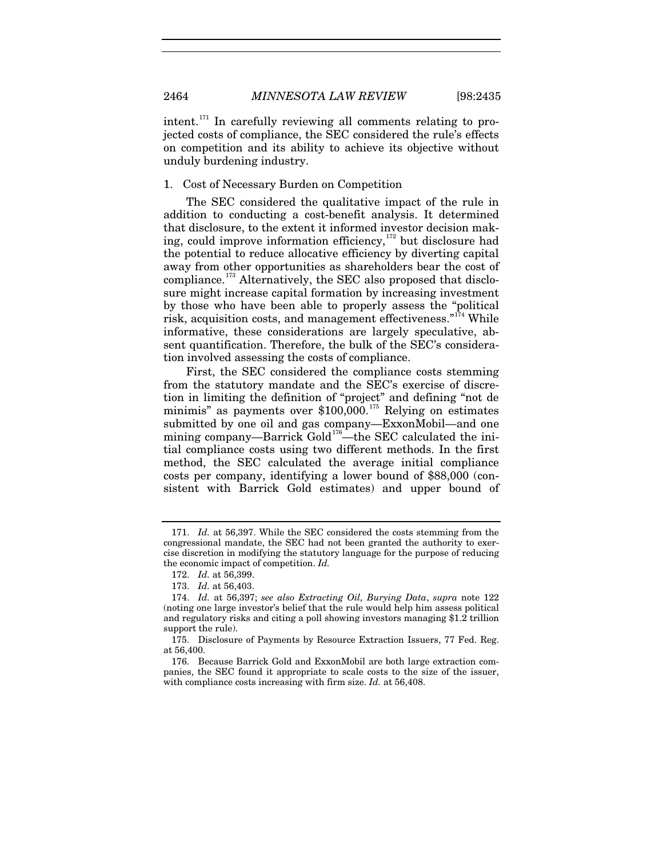intent.<sup>[171](#page-30-0)</sup> In carefully reviewing all comments relating to projected costs of compliance, the SEC considered the rule's effects on competition and its ability to achieve its objective without unduly burdening industry.

1. Cost of Necessary Burden on Competition

The SEC considered the qualitative impact of the rule in addition to conducting a cost-benefit analysis. It determined that disclosure, to the extent it informed investor decision mak-ing, could improve information efficiency,<sup>[172](#page-30-1)</sup> but disclosure had the potential to reduce allocative efficiency by diverting capital away from other opportunities as shareholders bear the cost of compliance.<sup>[173](#page-30-2)</sup> Alternatively, the SEC also proposed that disclosure might increase capital formation by increasing investment by those who have been able to properly assess the "political risk, acquisition costs, and management effectiveness."<sup>[174](#page-30-3)</sup> While informative, these considerations are largely speculative, absent quantification. Therefore, the bulk of the SEC's consideration involved assessing the costs of compliance.

First, the SEC considered the compliance costs stemming from the statutory mandate and the SEC's exercise of discretion in limiting the definition of "project" and defining "not de minimis" as payments over \$100,000. [175](#page-30-4) Relying on estimates submitted by one oil and gas company—ExxonMobil—and one mining company—Barrick Gold<sup>[176](#page-30-5)</sup>—the SEC calculated the initial compliance costs using two different methods. In the first method, the SEC calculated the average initial compliance costs per company, identifying a lower bound of \$88,000 (consistent with Barrick Gold estimates) and upper bound of

<span id="page-30-0"></span><sup>171.</sup> *Id.* at 56,397. While the SEC considered the costs stemming from the congressional mandate, the SEC had not been granted the authority to exercise discretion in modifying the statutory language for the purpose of reducing the economic impact of competition. *Id.* 

<sup>172.</sup> *Id.* at 56,399.

<sup>173.</sup> *Id.* at 56,403.

<span id="page-30-3"></span><span id="page-30-2"></span><span id="page-30-1"></span><sup>174.</sup> *Id.* at 56,397; *see also Extracting Oil, Burying Data*, *supra* note [122](#page-21-4) (noting one large investor's belief that the rule would help him assess political and regulatory risks and citing a poll showing investors managing \$1.2 trillion support the rule).

<span id="page-30-4"></span><sup>175.</sup> Disclosure of Payments by Resource Extraction Issuers, 77 Fed. Reg. at 56,400.

<span id="page-30-5"></span><sup>176.</sup> Because Barrick Gold and ExxonMobil are both large extraction companies, the SEC found it appropriate to scale costs to the size of the issuer, with compliance costs increasing with firm size. *Id.* at 56,408.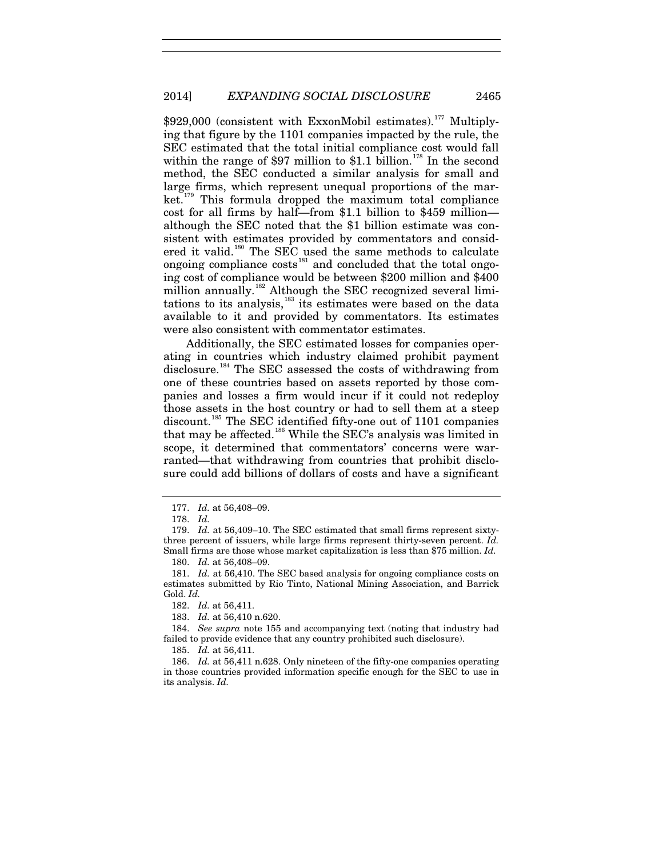\$929,000 (consistent with ExxonMobil estimates).<sup>[177](#page-31-0)</sup> Multiplying that figure by the 1101 companies impacted by the rule, the SEC estimated that the total initial compliance cost would fall within the range of \$97 million to \$1.1 billion.<sup>[178](#page-31-1)</sup> In the second method, the SEC conducted a similar analysis for small and large firms, which represent unequal proportions of the mar-ket.<sup>[179](#page-31-2)</sup> This formula dropped the maximum total compliance cost for all firms by half—from \$1.1 billion to \$459 million although the SEC noted that the \$1 billion estimate was consistent with estimates provided by commentators and consid-ered it valid.<sup>[180](#page-31-3)</sup> The SEC used the same methods to calculate ongoing compliance costs<sup>[181](#page-31-4)</sup> and concluded that the total ongoing cost of compliance would be between \$200 million and \$400 million annually.<sup>[182](#page-31-5)</sup> Although the SEC recognized several limi-tations to its analysis,<sup>[183](#page-31-6)</sup> its estimates were based on the data available to it and provided by commentators. Its estimates were also consistent with commentator estimates.

Additionally, the SEC estimated losses for companies operating in countries which industry claimed prohibit payment disclosure. [184](#page-31-7) The SEC assessed the costs of withdrawing from one of these countries based on assets reported by those companies and losses a firm would incur if it could not redeploy those assets in the host country or had to sell them at a steep discount.<sup>[185](#page-31-8)</sup> The SEC identified fifty-one out of 1101 companies that may be affected.<sup>[186](#page-31-9)</sup> While the SEC's analysis was limited in scope, it determined that commentators' concerns were warranted—that withdrawing from countries that prohibit disclosure could add billions of dollars of costs and have a significant

<sup>177.</sup> *Id.* at 56,408–09.

<sup>178.</sup> *Id.*

<span id="page-31-2"></span><span id="page-31-1"></span><span id="page-31-0"></span><sup>179.</sup> *Id.* at 56,409–10. The SEC estimated that small firms represent sixtythree percent of issuers, while large firms represent thirty-seven percent. *Id.* Small firms are those whose market capitalization is less than \$75 million. *Id.*

<sup>180.</sup> *Id.* at 56,408–09.

<span id="page-31-4"></span><span id="page-31-3"></span><sup>181.</sup> *Id.* at 56,410. The SEC based analysis for ongoing compliance costs on estimates submitted by Rio Tinto, National Mining Association, and Barrick Gold. *Id.* 

<sup>182.</sup> *Id.* at 56,411.

<sup>183.</sup> *Id.* at 56,410 n.620.

<span id="page-31-7"></span><span id="page-31-6"></span><span id="page-31-5"></span><sup>184.</sup> *See supra* note [155](#page-27-5) and accompanying text (noting that industry had failed to provide evidence that any country prohibited such disclosure).

<sup>185.</sup> *Id.* at 56,411.

<span id="page-31-9"></span><span id="page-31-8"></span><sup>186.</sup> *Id.* at 56,411 n.628. Only nineteen of the fifty-one companies operating in those countries provided information specific enough for the SEC to use in its analysis. *Id.*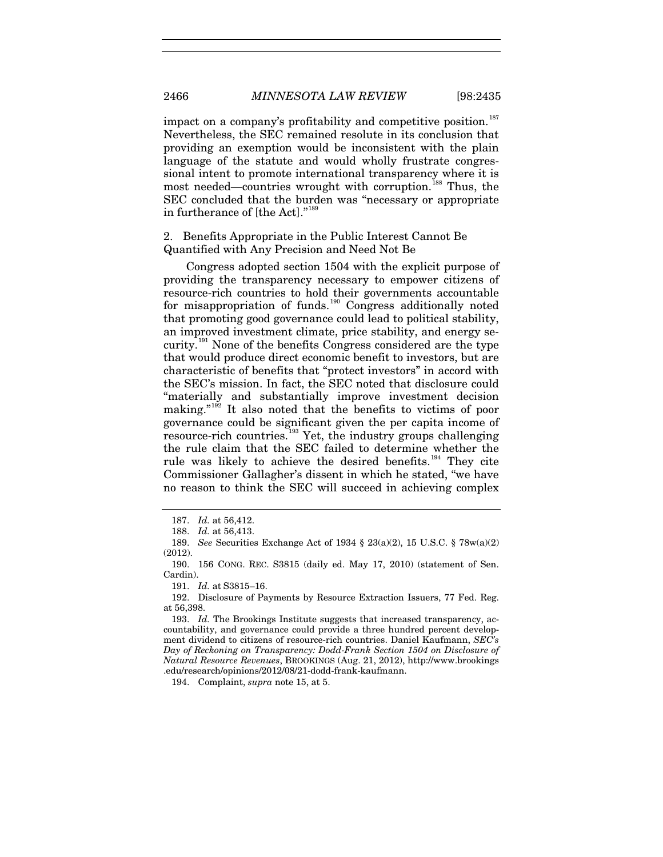impact on a company's profitability and competitive position.<sup>[187](#page-32-0)</sup> Nevertheless, the SEC remained resolute in its conclusion that providing an exemption would be inconsistent with the plain language of the statute and would wholly frustrate congressional intent to promote international transparency where it is most needed—countries wrought with corruption.<sup>[188](#page-32-1)</sup> Thus, the SEC concluded that the burden was "necessary or appropriate in furtherance of  $[the Act].<sup>18</sup>$ 

# 2. Benefits Appropriate in the Public Interest Cannot Be Quantified with Any Precision and Need Not Be

Congress adopted section 1504 with the explicit purpose of providing the transparency necessary to empower citizens of resource-rich countries to hold their governments accountable for misappropriation of funds.<sup>[190](#page-32-3)</sup> Congress additionally noted that promoting good governance could lead to political stability, an improved investment climate, price stability, and energy se-curity.<sup>[191](#page-32-4)</sup> None of the benefits Congress considered are the type that would produce direct economic benefit to investors, but are characteristic of benefits that "protect investors" in accord with the SEC's mission. In fact, the SEC noted that disclosure could "materially and substantially improve investment decision making."<sup>[192](#page-32-5)</sup> It also noted that the benefits to victims of poor governance could be significant given the per capita income of resource-rich countries.<sup>[193](#page-32-6)</sup> Yet, the industry groups challenging the rule claim that the SEC failed to determine whether the rule was likely to achieve the desired benefits.<sup>[194](#page-32-7)</sup> They cite Commissioner Gallagher's dissent in which he stated, "we have no reason to think the SEC will succeed in achieving complex

<span id="page-32-7"></span>194. Complaint, *supra* not[e 15,](#page-3-5) at 5.

<sup>187.</sup> *Id.* at 56,412.

<sup>188.</sup> *Id.* at 56,413.

<span id="page-32-2"></span><span id="page-32-1"></span><span id="page-32-0"></span><sup>189.</sup> *See* Securities Exchange Act of 1934 § 23(a)(2), 15 U.S.C. § 78w(a)(2) (2012).

<span id="page-32-3"></span><sup>190.</sup> 156 CONG. REC. S3815 (daily ed. May 17, 2010) (statement of Sen. Cardin).

<sup>191.</sup> *Id.* at S3815–16.

<span id="page-32-5"></span><span id="page-32-4"></span><sup>192.</sup> Disclosure of Payments by Resource Extraction Issuers, 77 Fed. Reg. at 56,398.

<span id="page-32-6"></span><sup>193.</sup> *Id.* The Brookings Institute suggests that increased transparency, accountability, and governance could provide a three hundred percent development dividend to citizens of resource-rich countries. Daniel Kaufmann, *SEC's Day of Reckoning on Transparency: Dodd-Frank Section 1504 on Disclosure of Natural Resource Revenues*, BROOKINGS (Aug. 21, 2012), http://www.brookings .edu/research/opinions/2012/08/21-dodd-frank-kaufmann.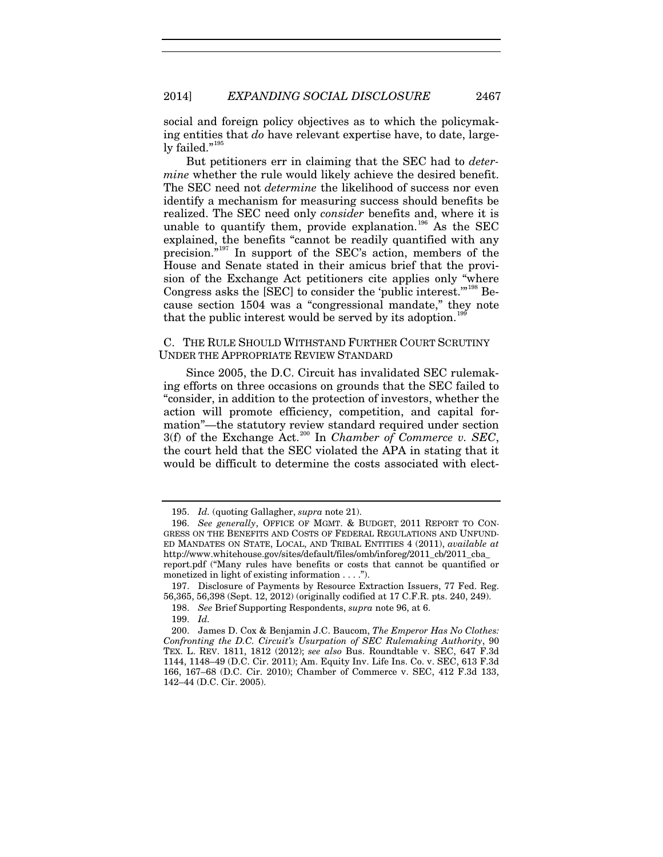social and foreign policy objectives as to which the policymaking entities that *do* have relevant expertise have, to date, large-ly failed."<sup>[195](#page-33-0)</sup>

But petitioners err in claiming that the SEC had to *determine* whether the rule would likely achieve the desired benefit. The SEC need not *determine* the likelihood of success nor even identify a mechanism for measuring success should benefits be realized. The SEC need only *consider* benefits and, where it is unable to quantify them, provide explanation.<sup>[196](#page-33-1)</sup> As the SEC explained, the benefits "cannot be readily quantified with any precision."[197](#page-33-2) In support of the SEC's action, members of the House and Senate stated in their amicus brief that the provision of the Exchange Act petitioners cite applies only "where Congress asks the [SEC] to consider the 'public interest.'"[198](#page-33-3) Because section 1504 was a "congressional mandate," they note that the public interest would be served by its adoption.<sup>198</sup>

# C. THE RULE SHOULD WITHSTAND FURTHER COURT SCRUTINY UNDER THE APPROPRIATE REVIEW STANDARD

Since 2005, the D.C. Circuit has invalidated SEC rulemaking efforts on three occasions on grounds that the SEC failed to "consider, in addition to the protection of investors, whether the action will promote efficiency, competition, and capital formation"—the statutory review standard required under section 3(f) of the Exchange Act. [200](#page-33-5) In *Chamber of Commerce v. SEC*, the court held that the SEC violated the APA in stating that it would be difficult to determine the costs associated with elect-

<span id="page-33-6"></span><sup>195.</sup> *Id.* (quoting Gallagher, *supra* note [21\)](#page-4-7).

<span id="page-33-1"></span><span id="page-33-0"></span><sup>196.</sup> *See generally*, OFFICE OF MGMT. & BUDGET, 2011 REPORT TO CON-GRESS ON THE BENEFITS AND COSTS OF FEDERAL REGULATIONS AND UNFUND-ED MANDATES ON STATE, LOCAL, AND TRIBAL ENTITIES 4 (2011), *available at*  http://www.whitehouse.gov/sites/default/files/omb/inforeg/2011\_cb/2011\_cba\_ report.pdf ("Many rules have benefits or costs that cannot be quantified or monetized in light of existing information . . . .").

<span id="page-33-3"></span><span id="page-33-2"></span><sup>197.</sup> Disclosure of Payments by Resource Extraction Issuers, 77 Fed. Reg. 56,365, 56,398 (Sept. 12, 2012) (originally codified at 17 C.F.R. pts. 240, 249).

<sup>198.</sup> *See* Brief Supporting Respondents, *supra* note [96,](#page-17-6) at 6.

<sup>199.</sup> *Id.*

<span id="page-33-5"></span><span id="page-33-4"></span><sup>200.</sup> James D. Cox & Benjamin J.C. Baucom, *The Emperor Has No Clothes: Confronting the D.C. Circuit's Usurpation of SEC Rulemaking Authority*, 90 TEX. L. REV. 1811, 1812 (2012); *see also* Bus. Roundtable v. SEC, 647 F.3d 1144, 1148–49 (D.C. Cir. 2011); Am. Equity Inv. Life Ins. Co. v. SEC, 613 F.3d 166, 167–68 (D.C. Cir. 2010); Chamber of Commerce v. SEC, 412 F.3d 133, 142–44 (D.C. Cir. 2005).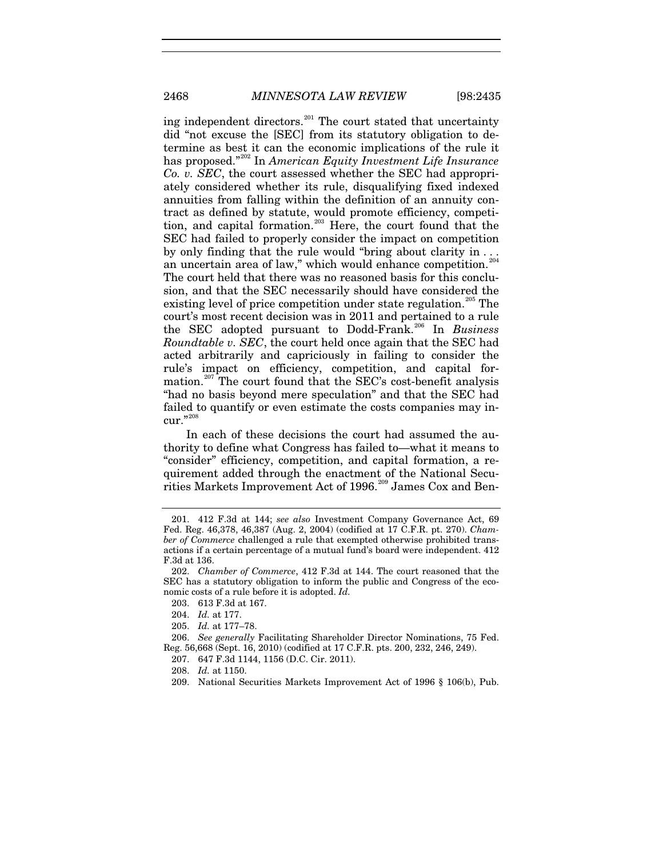2468 *MINNESOTA LAW REVIEW* [98:2435

ing independent directors.[201](#page-34-0) The court stated that uncertainty did "not excuse the [SEC] from its statutory obligation to determine as best it can the economic implications of the rule it has proposed."[202](#page-34-1) In *American Equity Investment Life Insurance Co. v. SEC*, the court assessed whether the SEC had appropriately considered whether its rule, disqualifying fixed indexed annuities from falling within the definition of an annuity contract as defined by statute, would promote efficiency, competi-tion, and capital formation.<sup>[203](#page-34-2)</sup> Here, the court found that the SEC had failed to properly consider the impact on competition by only finding that the rule would "bring about clarity in ... an uncertain area of law," which would enhance competition.<sup>2</sup> The court held that there was no reasoned basis for this conclusion, and that the SEC necessarily should have considered the existing level of price competition under state regulation.<sup>[205](#page-34-4)</sup> The court's most recent decision was in 2011 and pertained to a rule the SEC adopted pursuant to Dodd-Frank.[206](#page-34-5) In *Business Roundtable v. SEC*, the court held once again that the SEC had acted arbitrarily and capriciously in failing to consider the rule's impact on efficiency, competition, and capital for-mation.<sup>[207](#page-34-6)</sup> The court found that the SEC's cost-benefit analysis "had no basis beyond mere speculation" and that the SEC had failed to quantify or even estimate the costs companies may incur."20

In each of these decisions the court had assumed the authority to define what Congress has failed to—what it means to "consider" efficiency, competition, and capital formation, a requirement added through the enactment of the National Secu-rities Markets Improvement Act of 1996.<sup>[209](#page-34-8)</sup> James Cox and Ben-

205. *Id.* at 177–78.

207. 647 F.3d 1144, 1156 (D.C. Cir. 2011).

<span id="page-34-0"></span><sup>201.</sup> 412 F.3d at 144; *see also* Investment Company Governance Act, 69 Fed. Reg. 46,378, 46,387 (Aug. 2, 2004) (codified at 17 C.F.R. pt. 270). *Chamber of Commerce* challenged a rule that exempted otherwise prohibited transactions if a certain percentage of a mutual fund's board were independent. 412 F.3d at 136.

<span id="page-34-2"></span><span id="page-34-1"></span><sup>202.</sup> *Chamber of Commerce*, 412 F.3d at 144. The court reasoned that the SEC has a statutory obligation to inform the public and Congress of the economic costs of a rule before it is adopted. *Id.* 

<sup>203.</sup> 613 F.3d at 167.

<sup>204.</sup> *Id.* at 177.

<span id="page-34-8"></span><span id="page-34-7"></span><span id="page-34-6"></span><span id="page-34-5"></span><span id="page-34-4"></span><span id="page-34-3"></span><sup>206.</sup> *See generally* Facilitating Shareholder Director Nominations, 75 Fed. Reg. 56,668 (Sept. 16, 2010) (codified at 17 C.F.R. pts. 200, 232, 246, 249).

<sup>208.</sup> *Id.* at 1150.

<sup>209.</sup> National Securities Markets Improvement Act of 1996 § 106(b), Pub.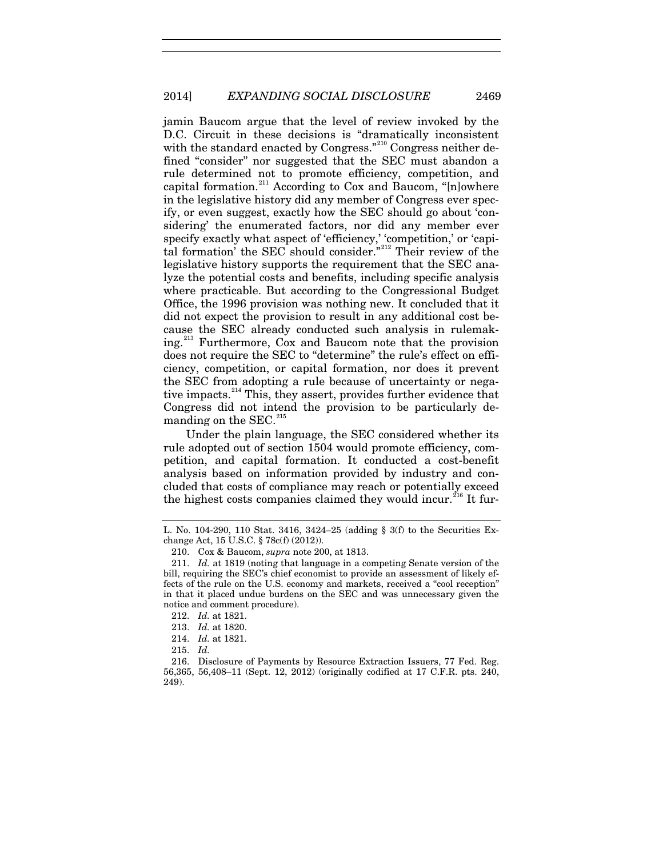jamin Baucom argue that the level of review invoked by the D.C. Circuit in these decisions is "dramatically inconsistent with the standard enacted by Congress."<sup>[210](#page-35-0)</sup> Congress neither defined "consider" nor suggested that the SEC must abandon a rule determined not to promote efficiency, competition, and capital formation.<sup>[211](#page-35-1)</sup> According to Cox and Baucom, " $[n]$ owhere in the legislative history did any member of Congress ever specify, or even suggest, exactly how the SEC should go about 'considering' the enumerated factors, nor did any member ever specify exactly what aspect of 'efficiency,' 'competition,' or 'capital formation' the SEC should consider."[212](#page-35-2) Their review of the legislative history supports the requirement that the SEC analyze the potential costs and benefits, including specific analysis where practicable. But according to the Congressional Budget Office, the 1996 provision was nothing new. It concluded that it did not expect the provision to result in any additional cost because the SEC already conducted such analysis in rulemaking.[213](#page-35-3) Furthermore, Cox and Baucom note that the provision does not require the SEC to "determine" the rule's effect on efficiency, competition, or capital formation, nor does it prevent the SEC from adopting a rule because of uncertainty or nega-tive impacts.<sup>[214](#page-35-4)</sup> This, they assert, provides further evidence that Congress did not intend the provision to be particularly demanding on the  $SEC.<sup>215</sup>$  $SEC.<sup>215</sup>$  $SEC.<sup>215</sup>$ 

Under the plain language, the SEC considered whether its rule adopted out of section 1504 would promote efficiency, competition, and capital formation. It conducted a cost-benefit analysis based on information provided by industry and concluded that costs of compliance may reach or potentially exceed the highest costs companies claimed they would incur.<sup>[216](#page-35-6)</sup> It fur-

L. No. 104-290, 110 Stat. 3416, 3424–25 (adding § 3(f) to the Securities Exchange Act, 15 U.S.C. § 78c(f) (2012)).

<sup>210.</sup> Cox & Baucom, *supra* note [200,](#page-33-6) at 1813.

<span id="page-35-1"></span><span id="page-35-0"></span><sup>211.</sup> *Id.* at 1819 (noting that language in a competing Senate version of the bill, requiring the SEC's chief economist to provide an assessment of likely effects of the rule on the U.S. economy and markets, received a "cool reception" in that it placed undue burdens on the SEC and was unnecessary given the notice and comment procedure).

<sup>212.</sup> *Id.* at 1821.

<sup>213.</sup> *Id.* at 1820.

<sup>214.</sup> *Id.* at 1821.

<sup>215.</sup> *Id.*

<span id="page-35-6"></span><span id="page-35-5"></span><span id="page-35-4"></span><span id="page-35-3"></span><span id="page-35-2"></span><sup>216.</sup> Disclosure of Payments by Resource Extraction Issuers, 77 Fed. Reg. 56,365, 56,408–11 (Sept. 12, 2012) (originally codified at 17 C.F.R. pts. 240, 249).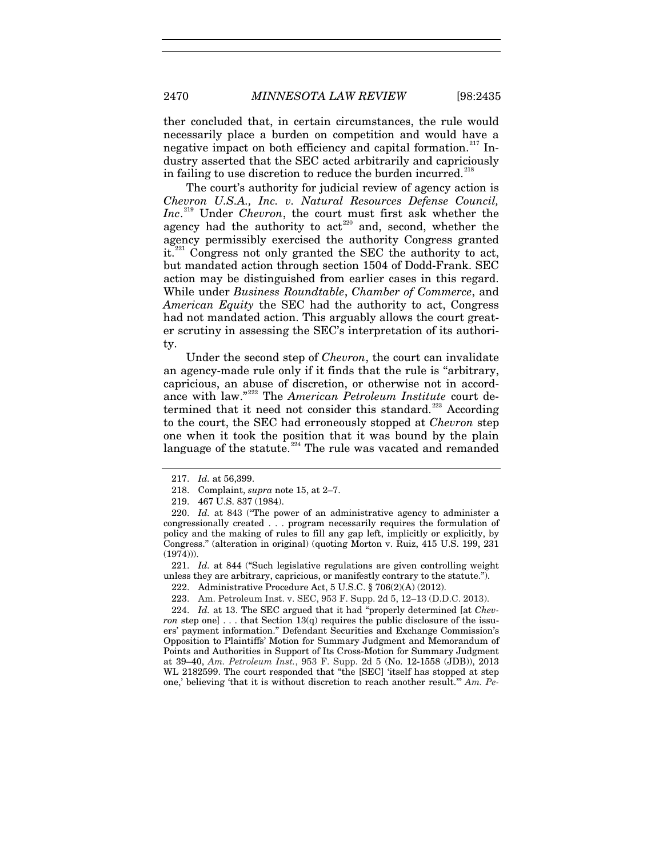ther concluded that, in certain circumstances, the rule would necessarily place a burden on competition and would have a negative impact on both efficiency and capital formation.<sup>[217](#page-36-0)</sup> Industry asserted that the SEC acted arbitrarily and capriciously in failing to use discretion to reduce the burden incurred. $21$ 

The court's authority for judicial review of agency action is *Chevron U.S.A., Inc. v. Natural Resources Defense Council, Inc*. [219](#page-36-2) Under *Chevron*, the court must first ask whether the agency had the authority to  $\arctan^{220}$  $\arctan^{220}$  $\arctan^{220}$  and, second, whether the agency permissibly exercised the authority Congress granted it.<sup>[221](#page-36-4)</sup> Congress not only granted the SEC the authority to act, but mandated action through section 1504 of Dodd-Frank. SEC action may be distinguished from earlier cases in this regard. While under *Business Roundtable*, *Chamber of Commerce*, and *American Equity* the SEC had the authority to act, Congress had not mandated action. This arguably allows the court greater scrutiny in assessing the SEC's interpretation of its authority.

Under the second step of *Chevron*, the court can invalidate an agency-made rule only if it finds that the rule is "arbitrary, capricious, an abuse of discretion, or otherwise not in accordance with law." [222](#page-36-5) The *American Petroleum Institute* court de-termined that it need not consider this standard.<sup>[223](#page-36-6)</sup> According to the court, the SEC had erroneously stopped at *Chevron* step one when it took the position that it was bound by the plain language of the statute. $224$  The rule was vacated and remanded

<span id="page-36-5"></span><span id="page-36-4"></span>221. *Id.* at 844 ("Such legislative regulations are given controlling weight unless they are arbitrary, capricious, or manifestly contrary to the statute.").

222. Administrative Procedure Act, 5 U.S.C. § 706(2)(A) (2012).

<span id="page-36-7"></span><span id="page-36-6"></span>224. *Id.* at 13. The SEC argued that it had "properly determined [at *Chevron* step one] . . . that Section 13(q) requires the public disclosure of the issuers' payment information." Defendant Securities and Exchange Commission's Opposition to Plaintiffs' Motion for Summary Judgment and Memorandum of Points and Authorities in Support of Its Cross-Motion for Summary Judgment at 39–40, *Am. Petroleum Inst.*, 953 F. Supp. 2d 5 (No. 12-1558 (JDB)), 2013 WL 2182599. The court responded that "the [SEC] 'itself has stopped at step one,' believing 'that it is without discretion to reach another result.'" *Am. Pe-*

<sup>217.</sup> *Id.* at 56,399.

<sup>218.</sup> Complaint, *supra* not[e 15,](#page-3-5) at 2–7.

<sup>219.</sup> 467 U.S. 837 (1984).

<span id="page-36-3"></span><span id="page-36-2"></span><span id="page-36-1"></span><span id="page-36-0"></span><sup>220.</sup> *Id.* at 843 ("The power of an administrative agency to administer a congressionally created . . . program necessarily requires the formulation of policy and the making of rules to fill any gap left, implicitly or explicitly, by Congress." (alteration in original) (quoting Morton v. Ruiz, 415 U.S. 199, 231 (1974))).

<sup>223.</sup> Am. Petroleum Inst. v. SEC, 953 F. Supp. 2d 5, 12–13 (D.D.C. 2013).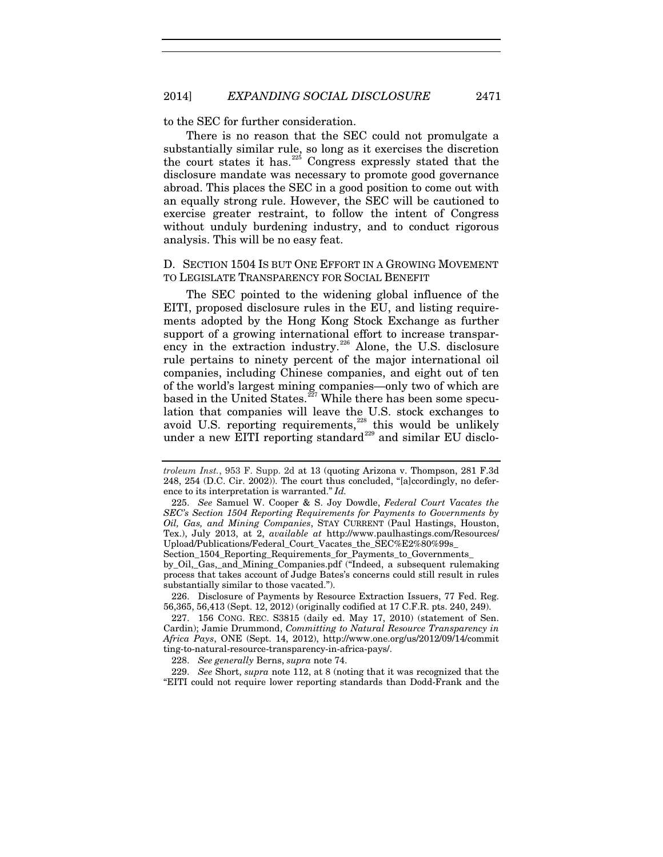to the SEC for further consideration.

There is no reason that the SEC could not promulgate a substantially similar rule, so long as it exercises the discretion the court states it has.<sup>[225](#page-37-0)</sup> Congress expressly stated that the disclosure mandate was necessary to promote good governance abroad. This places the SEC in a good position to come out with an equally strong rule. However, the SEC will be cautioned to exercise greater restraint, to follow the intent of Congress without unduly burdening industry, and to conduct rigorous analysis. This will be no easy feat.

## D. SECTION 1504 IS BUT ONE EFFORT IN A GROWING MOVEMENT TO LEGISLATE TRANSPARENCY FOR SOCIAL BENEFIT

The SEC pointed to the widening global influence of the EITI, proposed disclosure rules in the EU, and listing requirements adopted by the Hong Kong Stock Exchange as further support of a growing international effort to increase transpar-ency in the extraction industry.<sup>[226](#page-37-1)</sup> Alone, the U.S. disclosure rule pertains to ninety percent of the major international oil companies, including Chinese companies, and eight out of ten of the world's largest mining companies—only two of which are based in the United States.<sup>[227](#page-37-2)</sup> While there has been some speculation that companies will leave the U.S. stock exchanges to avoid U.S. reporting requirements, $228$  this would be unlikely under a new EITI reporting standard<sup>[229](#page-37-4)</sup> and similar EU disclo-

Section\_1504\_Reporting\_Requirements\_for\_Payments\_to\_Governments\_

by\_Oil,\_Gas,\_and\_Mining\_Companies.pdf ("Indeed, a subsequent rulemaking process that takes account of Judge Bates's concerns could still result in rules substantially similar to those vacated.").

<span id="page-37-1"></span>226. Disclosure of Payments by Resource Extraction Issuers, 77 Fed. Reg. 56,365, 56,413 (Sept. 12, 2012) (originally codified at 17 C.F.R. pts. 240, 249).

<span id="page-37-2"></span>227. 156 CONG. REC. S3815 (daily ed. May 17, 2010) (statement of Sen. Cardin); Jamie Drummond, *Committing to Natural Resource Transparency in Africa Pays*, ONE (Sept. 14, 2012), http://www.one.org/us/2012/09/14/commit ting-to-natural-resource-transparency-in-africa-pays/.

228. *See generally* Berns, *supra* note [74.](#page-12-6) 

<span id="page-37-4"></span><span id="page-37-3"></span>229. *See* Short, *supra* not[e 112,](#page-19-8) at 8 (noting that it was recognized that the "EITI could not require lower reporting standards than Dodd-Frank and the

*troleum Inst.*, 953 F. Supp. 2d at 13 (quoting Arizona v. Thompson, 281 F.3d 248, 254 (D.C. Cir. 2002)). The court thus concluded, "[a]ccordingly, no deference to its interpretation is warranted." *Id.*

<span id="page-37-0"></span><sup>225.</sup> *See* Samuel W. Cooper & S. Joy Dowdle, *Federal Court Vacates the SEC's Section 1504 Reporting Requirements for Payments to Governments by Oil, Gas, and Mining Companies*, STAY CURRENT (Paul Hastings, Houston, Tex.), July 2013, at 2, *available at* http://www.paulhastings.com/Resources/ Upload/Publications/Federal\_Court\_Vacates\_the\_SEC%E2%80%99s\_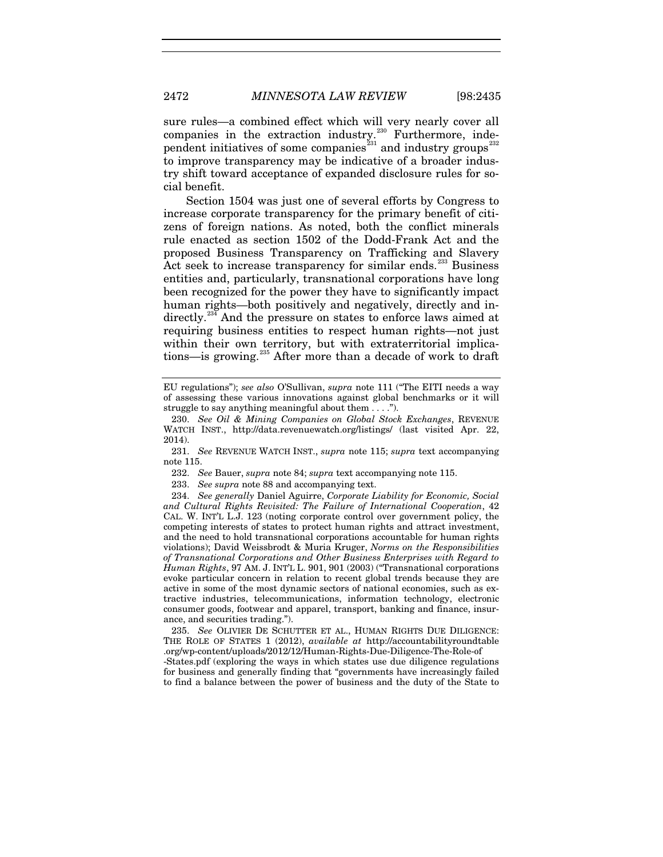sure rules—a combined effect which will very nearly cover all companies in the extraction industry. $230$  Furthermore, inde-pendent initiatives of some companies<sup>[231](#page-38-1)</sup> and industry groups<sup>[232](#page-38-2)</sup> to improve transparency may be indicative of a broader industry shift toward acceptance of expanded disclosure rules for social benefit.

Section 1504 was just one of several efforts by Congress to increase corporate transparency for the primary benefit of citizens of foreign nations. As noted, both the conflict minerals rule enacted as section 1502 of the Dodd-Frank Act and the proposed Business Transparency on Trafficking and Slavery Act seek to increase transparency for similar ends.<sup>[233](#page-38-3)</sup> Business entities and, particularly, transnational corporations have long been recognized for the power they have to significantly impact human rights—both positively and negatively, directly and in-directly.<sup>[234](#page-38-4)</sup> And the pressure on states to enforce laws aimed at requiring business entities to respect human rights—not just within their own territory, but with extraterritorial implica-tions-is growing.<sup>[235](#page-38-5)</sup> After more than a decade of work to draft

<span id="page-38-6"></span>EU regulations"); *see also* O'Sullivan, *supra* note [111](#page-19-9) ("The EITI needs a way of assessing these various innovations against global benchmarks or it will struggle to say anything meaningful about them . . . .").

<span id="page-38-0"></span><sup>230.</sup> *See Oil & Mining Companies on Global Stock Exchanges*, REVENUE WATCH INST., http://data.revenuewatch.org/listings/ (last visited Apr. 22, 2014).

<span id="page-38-1"></span><sup>231.</sup> *See* REVENUE WATCH INST., *supra* note [115;](#page-20-8) *supra* text accompanying not[e 115.](#page-20-0)

<sup>232.</sup> *See* Bauer, *supra* not[e 84;](#page-14-4) *supra* text accompanying note [115.](#page-20-0)

<sup>233.</sup> *See supra* note [88](#page-15-5) and accompanying text.

<span id="page-38-4"></span><span id="page-38-3"></span><span id="page-38-2"></span><sup>234.</sup> *See generally* Daniel Aguirre, *Corporate Liability for Economic, Social and Cultural Rights Revisited: The Failure of International Cooperation*, 42 CAL. W. INT'L L.J. 123 (noting corporate control over government policy, the competing interests of states to protect human rights and attract investment, and the need to hold transnational corporations accountable for human rights violations); David Weissbrodt & Muria Kruger, *Norms on the Responsibilities of Transnational Corporations and Other Business Enterprises with Regard to Human Rights*, 97 AM. J. INT'L L. 901, 901 (2003) ("Transnational corporations evoke particular concern in relation to recent global trends because they are active in some of the most dynamic sectors of national economies, such as extractive industries, telecommunications, information technology, electronic consumer goods, footwear and apparel, transport, banking and finance, insurance, and securities trading.").

<span id="page-38-5"></span><sup>235.</sup> *See* OLIVIER DE SCHUTTER ET AL., HUMAN RIGHTS DUE DILIGENCE: THE ROLE OF STATES 1 (2012), *available at* http://accountabilityroundtable .org/wp-content/uploads/2012/12/Human-Rights-Due-Diligence-The-Role-of

<sup>-</sup>States.pdf (exploring the ways in which states use due diligence regulations for business and generally finding that "governments have increasingly failed to find a balance between the power of business and the duty of the State to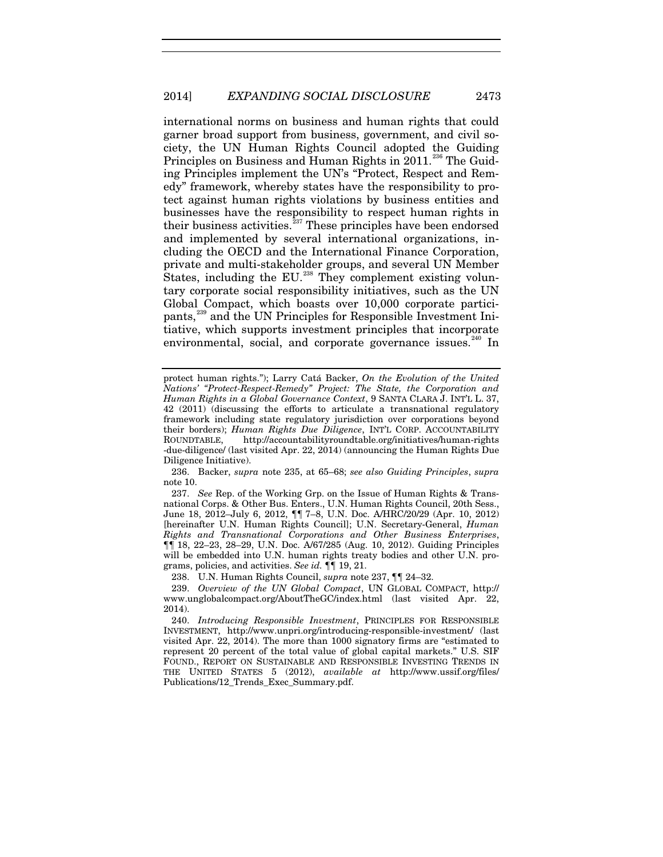<span id="page-39-0"></span>international norms on business and human rights that could garner broad support from business, government, and civil society, the UN Human Rights Council adopted the Guiding Principles on Business and Human Rights in 2011.<sup>[236](#page-39-1)</sup> The Guiding Principles implement the UN's "Protect, Respect and Remedy" framework, whereby states have the responsibility to protect against human rights violations by business entities and businesses have the responsibility to respect human rights in their business activities. $237$  These principles have been endorsed and implemented by several international organizations, including the OECD and the International Finance Corporation, private and multi-stakeholder groups, and several UN Member States, including the  $EU^{238}$  $EU^{238}$  $EU^{238}$  They complement existing voluntary corporate social responsibility initiatives, such as the UN Global Compact, which boasts over 10,000 corporate partici-pants,<sup>[239](#page-39-4)</sup> and the UN Principles for Responsible Investment Initiative, which supports investment principles that incorporate environmental, social, and corporate governance issues.<sup>[240](#page-39-5)</sup> In

<span id="page-39-1"></span>236. Backer, *supra* note [235,](#page-38-6) at 65–68; *see also Guiding Principles*, *supra*  not[e 10.](#page-2-4)

<span id="page-39-2"></span>237. *See* Rep. of the Working Grp. on the Issue of Human Rights & Transnational Corps. & Other Bus. Enters., U.N. Human Rights Council, 20th Sess., June 18, 2012–July 6, 2012, ¶¶ 7–8, U.N. Doc. A/HRC/20/29 (Apr. 10, 2012) [hereinafter U.N. Human Rights Council]; U.N. Secretary-General, *Human Rights and Transnational Corporations and Other Business Enterprises*, ¶¶ 18, 22–23, 28–29, U.N. Doc. A/67/285 (Aug. 10, 2012). Guiding Principles will be embedded into U.N. human rights treaty bodies and other U.N. programs, policies, and activities. *See id.* ¶¶ 19, 21.

238. U.N. Human Rights Council, *supra* note [237,](#page-39-0) ¶¶ 24–32.

<span id="page-39-4"></span><span id="page-39-3"></span>239. *Overview of the UN Global Compact*, UN GLOBAL COMPACT, http:// www.unglobalcompact.org/AboutTheGC/index.html (last visited Apr. 22, 2014).

<span id="page-39-5"></span>240. *Introducing Responsible Investment*, PRINCIPLES FOR RESPONSIBLE INVESTMENT, http://www.unpri.org/introducing-responsible-investment/ (last visited Apr. 22, 2014). The more than 1000 signatory firms are "estimated to represent 20 percent of the total value of global capital markets." U.S. SIF FOUND., REPORT ON SUSTAINABLE AND RESPONSIBLE INVESTING TRENDS IN THE UNITED STATES 5 (2012), *available at* http://www.ussif.org/files/ Publications/12\_Trends\_Exec\_Summary.pdf.

<span id="page-39-6"></span>protect human rights."); Larry Catá Backer, *On the Evolution of the United Nations' "Protect-Respect-Remedy" Project: The State, the Corporation and Human Rights in a Global Governance Context*, 9 SANTA CLARA J. INT'L L. 37, 42 (2011) (discussing the efforts to articulate a transnational regulatory framework including state regulatory jurisdiction over corporations beyond their borders); *Human Rights Due Diligence*, INT'L CORP. ACCOUNTABILITY ROUNDTABLE, http://accountabilityroundtable.org/initiatives/human-rights -due-diligence/ (last visited Apr. 22, 2014) (announcing the Human Rights Due Diligence Initiative).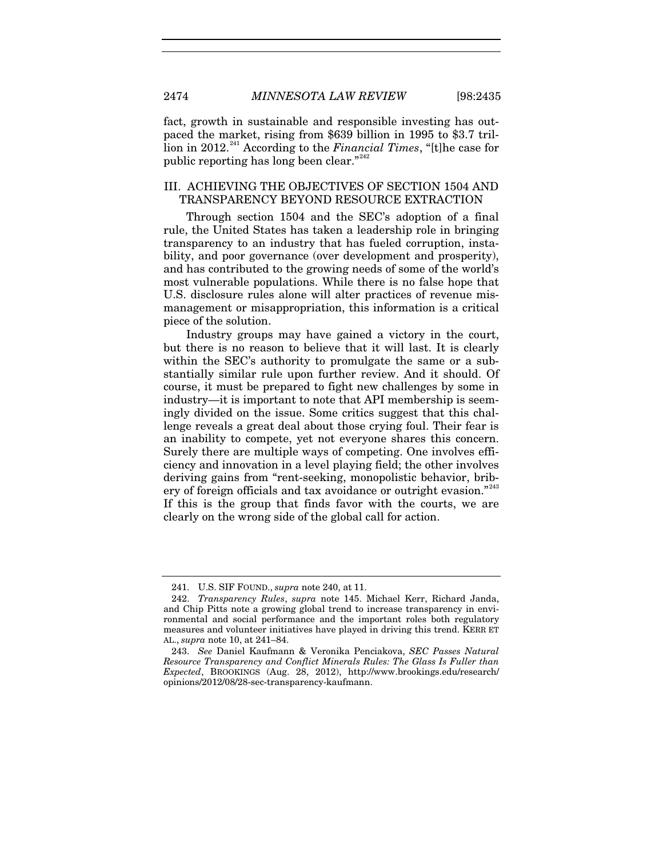fact, growth in sustainable and responsible investing has outpaced the market, rising from \$639 billion in 1995 to \$3.7 tril-lion in 2012.<sup>[241](#page-40-0)</sup> According to the *Financial Times*, "[t]he case for public reporting has long been clear."<sup>[242](#page-40-1)</sup>

# III. ACHIEVING THE OBJECTIVES OF SECTION 1504 AND TRANSPARENCY BEYOND RESOURCE EXTRACTION

Through section 1504 and the SEC's adoption of a final rule, the United States has taken a leadership role in bringing transparency to an industry that has fueled corruption, instability, and poor governance (over development and prosperity), and has contributed to the growing needs of some of the world's most vulnerable populations. While there is no false hope that U.S. disclosure rules alone will alter practices of revenue mismanagement or misappropriation, this information is a critical piece of the solution.

Industry groups may have gained a victory in the court, but there is no reason to believe that it will last. It is clearly within the SEC's authority to promulgate the same or a substantially similar rule upon further review. And it should. Of course, it must be prepared to fight new challenges by some in industry—it is important to note that API membership is seemingly divided on the issue. Some critics suggest that this challenge reveals a great deal about those crying foul. Their fear is an inability to compete, yet not everyone shares this concern. Surely there are multiple ways of competing. One involves efficiency and innovation in a level playing field; the other involves deriving gains from "rent-seeking, monopolistic behavior, brib-ery of foreign officials and tax avoidance or outright evasion."<sup>[243](#page-40-2)</sup> If this is the group that finds favor with the courts, we are clearly on the wrong side of the global call for action.

<sup>241.</sup> U.S. SIF FOUND., *supra* note [240,](#page-39-6) at 11.

<span id="page-40-1"></span><span id="page-40-0"></span><sup>242.</sup> *Transparency Rules*, *supra* note [145.](#page-26-9) Michael Kerr, Richard Janda, and Chip Pitts note a growing global trend to increase transparency in environmental and social performance and the important roles both regulatory measures and volunteer initiatives have played in driving this trend. KERR ET AL., *supra* not[e 10,](#page-2-4) at 241–84.

<span id="page-40-2"></span><sup>243.</sup> *See* Daniel Kaufmann & Veronika Penciakova, *SEC Passes Natural Resource Transparency and Conflict Minerals Rules: The Glass Is Fuller than Expected*, BROOKINGS (Aug. 28, 2012), http://www.brookings.edu/research/ opinions/2012/08/28-sec-transparency-kaufmann.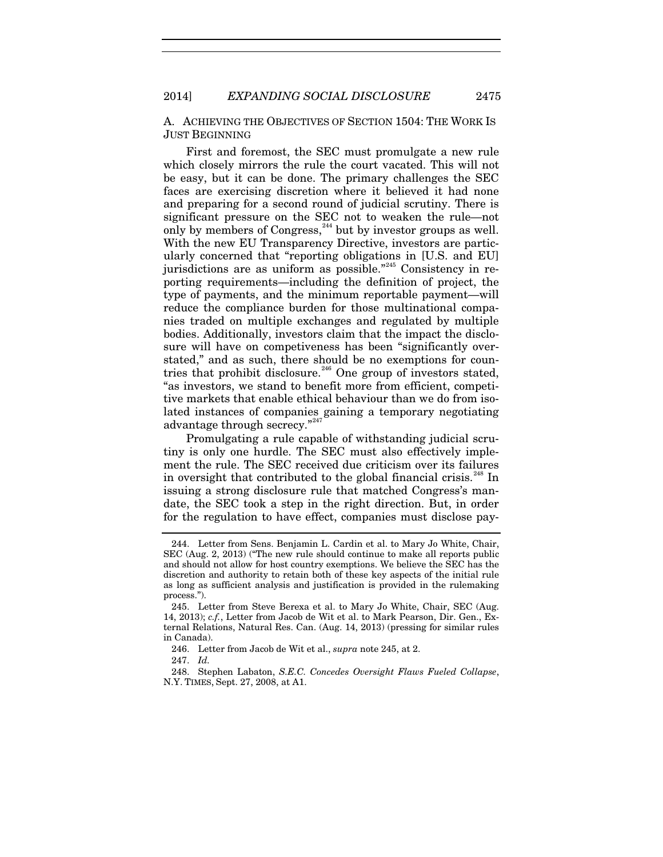A. ACHIEVING THE OBJECTIVES OF SECTION 1504: THE WORK IS JUST BEGINNING

<span id="page-41-0"></span>First and foremost, the SEC must promulgate a new rule which closely mirrors the rule the court vacated. This will not be easy, but it can be done. The primary challenges the SEC faces are exercising discretion where it believed it had none and preparing for a second round of judicial scrutiny. There is significant pressure on the SEC not to weaken the rule—not only by members of Congress,<sup>[244](#page-41-1)</sup> but by investor groups as well. With the new EU Transparency Directive, investors are particularly concerned that "reporting obligations in [U.S. and EU] jurisdictions are as uniform as possible."[245](#page-41-2) Consistency in reporting requirements—including the definition of project, the type of payments, and the minimum reportable payment—will reduce the compliance burden for those multinational companies traded on multiple exchanges and regulated by multiple bodies. Additionally, investors claim that the impact the disclosure will have on competiveness has been "significantly overstated," and as such, there should be no exemptions for coun-tries that prohibit disclosure.<sup>[246](#page-41-3)</sup> One group of investors stated, "as investors, we stand to benefit more from efficient, competitive markets that enable ethical behaviour than we do from isolated instances of companies gaining a temporary negotiating advantage through secrecy."[247](#page-41-4)

Promulgating a rule capable of withstanding judicial scrutiny is only one hurdle. The SEC must also effectively implement the rule. The SEC received due criticism over its failures in oversight that contributed to the global financial crisis.<sup>[248](#page-41-5)</sup> In issuing a strong disclosure rule that matched Congress's mandate, the SEC took a step in the right direction. But, in order for the regulation to have effect, companies must disclose pay-

<span id="page-41-1"></span><sup>244.</sup> Letter from Sens. Benjamin L. Cardin et al. to Mary Jo White, Chair, SEC (Aug. 2, 2013) ("The new rule should continue to make all reports public and should not allow for host country exemptions. We believe the SEC has the discretion and authority to retain both of these key aspects of the initial rule as long as sufficient analysis and justification is provided in the rulemaking process.").

<span id="page-41-2"></span><sup>245.</sup> Letter from Steve Berexa et al. to Mary Jo White, Chair, SEC (Aug. 14, 2013); *c.f.*, Letter from Jacob de Wit et al. to Mark Pearson, Dir. Gen., External Relations, Natural Res. Can. (Aug. 14, 2013) (pressing for similar rules in Canada).

<sup>246.</sup> Letter from Jacob de Wit et al., *supra* note [245,](#page-41-0) at 2.

<sup>247.</sup> *Id.*

<span id="page-41-5"></span><span id="page-41-4"></span><span id="page-41-3"></span><sup>248.</sup> Stephen Labaton, *S.E.C. Concedes Oversight Flaws Fueled Collapse*, N.Y. TIMES, Sept. 27, 2008, at A1.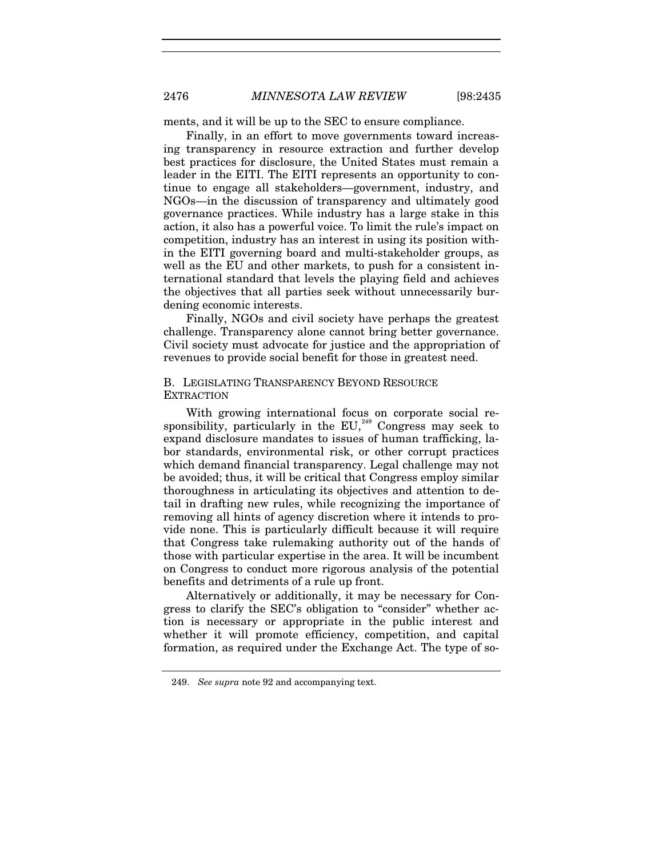ments, and it will be up to the SEC to ensure compliance.

Finally, in an effort to move governments toward increasing transparency in resource extraction and further develop best practices for disclosure, the United States must remain a leader in the EITI. The EITI represents an opportunity to continue to engage all stakeholders—government, industry, and NGOs—in the discussion of transparency and ultimately good governance practices. While industry has a large stake in this action, it also has a powerful voice. To limit the rule's impact on competition, industry has an interest in using its position within the EITI governing board and multi-stakeholder groups, as well as the EU and other markets, to push for a consistent international standard that levels the playing field and achieves the objectives that all parties seek without unnecessarily burdening economic interests.

Finally, NGOs and civil society have perhaps the greatest challenge. Transparency alone cannot bring better governance. Civil society must advocate for justice and the appropriation of revenues to provide social benefit for those in greatest need.

# B. LEGISLATING TRANSPARENCY BEYOND RESOURCE **EXTRACTION**

With growing international focus on corporate social re-sponsibility, particularly in the EU,<sup>[249](#page-42-0)</sup> Congress may seek to expand disclosure mandates to issues of human trafficking, labor standards, environmental risk, or other corrupt practices which demand financial transparency. Legal challenge may not be avoided; thus, it will be critical that Congress employ similar thoroughness in articulating its objectives and attention to detail in drafting new rules, while recognizing the importance of removing all hints of agency discretion where it intends to provide none. This is particularly difficult because it will require that Congress take rulemaking authority out of the hands of those with particular expertise in the area. It will be incumbent on Congress to conduct more rigorous analysis of the potential benefits and detriments of a rule up front.

Alternatively or additionally, it may be necessary for Congress to clarify the SEC's obligation to "consider" whether action is necessary or appropriate in the public interest and whether it will promote efficiency, competition, and capital formation, as required under the Exchange Act. The type of so-

<span id="page-42-0"></span><sup>249.</sup> *See supra* note [92](#page-15-6) and accompanying text.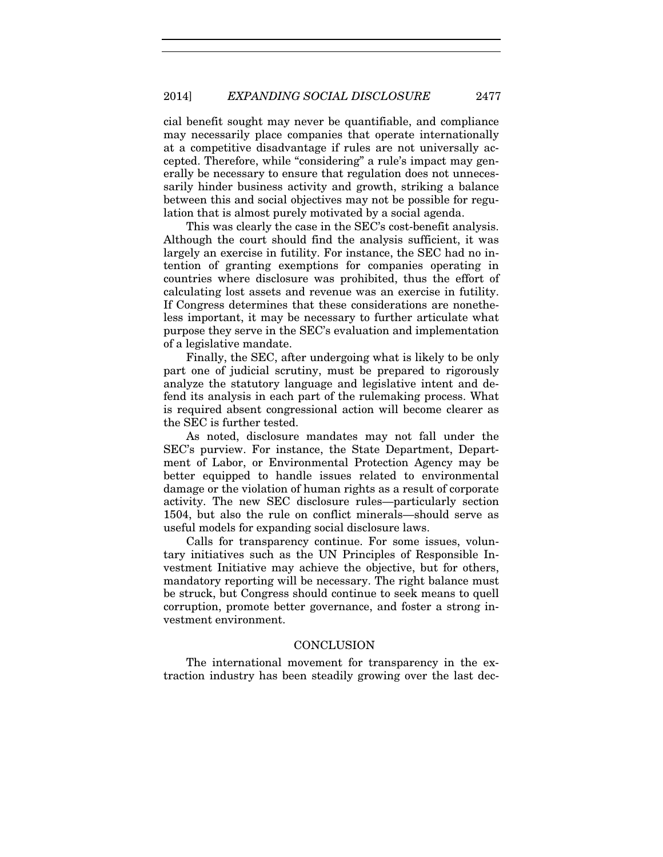cial benefit sought may never be quantifiable, and compliance may necessarily place companies that operate internationally at a competitive disadvantage if rules are not universally accepted. Therefore, while "considering" a rule's impact may generally be necessary to ensure that regulation does not unnecessarily hinder business activity and growth, striking a balance between this and social objectives may not be possible for regulation that is almost purely motivated by a social agenda.

This was clearly the case in the SEC's cost-benefit analysis. Although the court should find the analysis sufficient, it was largely an exercise in futility. For instance, the SEC had no intention of granting exemptions for companies operating in countries where disclosure was prohibited, thus the effort of calculating lost assets and revenue was an exercise in futility. If Congress determines that these considerations are nonetheless important, it may be necessary to further articulate what purpose they serve in the SEC's evaluation and implementation of a legislative mandate.

Finally, the SEC, after undergoing what is likely to be only part one of judicial scrutiny, must be prepared to rigorously analyze the statutory language and legislative intent and defend its analysis in each part of the rulemaking process. What is required absent congressional action will become clearer as the SEC is further tested.

As noted, disclosure mandates may not fall under the SEC's purview. For instance, the State Department, Department of Labor, or Environmental Protection Agency may be better equipped to handle issues related to environmental damage or the violation of human rights as a result of corporate activity. The new SEC disclosure rules—particularly section 1504, but also the rule on conflict minerals—should serve as useful models for expanding social disclosure laws.

Calls for transparency continue. For some issues, voluntary initiatives such as the UN Principles of Responsible Investment Initiative may achieve the objective, but for others, mandatory reporting will be necessary. The right balance must be struck, but Congress should continue to seek means to quell corruption, promote better governance, and foster a strong investment environment.

#### CONCLUSION

The international movement for transparency in the extraction industry has been steadily growing over the last dec-